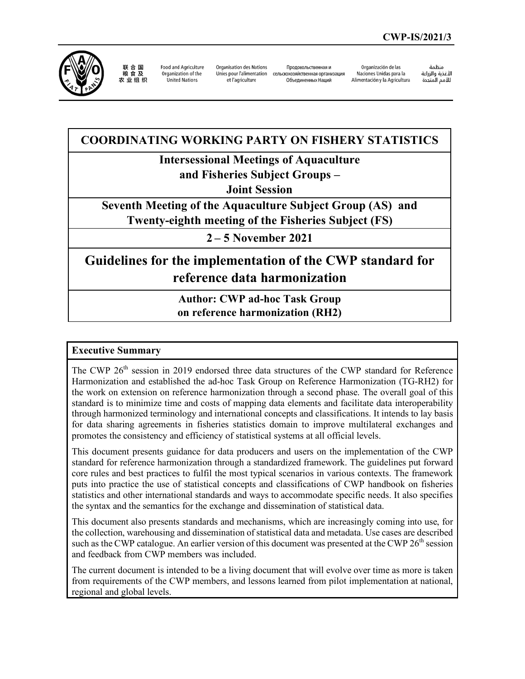

联合国<br>粮食及<br>农业组织 Food and Agriculture Organization of the United Nations

Organisation des Nations et l'agriculture

Продовольственная и Unies pour l'alimentation сельскохозяйственная организация Объединенных Наций

Organización de las Naciones Unidas para la Alimentación y la Agricultura

منظمة ستعدة<br>الأغذية والزراعة للأمم المتحدة

## **COORDINATING WORKING PARTY ON FISHERY STATISTICS**

**Intersessional Meetings of Aquaculture**

**and Fisheries Subject Groups –** 

**Joint Session**

**Seventh Meeting of the Aquaculture Subject Group (AS) and Twenty-eighth meeting of the Fisheries Subject (FS)**

**2 – 5 November 2021**

# **Guidelines for the implementation of the CWP standard for reference data harmonization**

**Author: CWP ad-hoc Task Group on reference harmonization (RH2)**

## **Executive Summary**

The CWP 26<sup>th</sup> session in 2019 endorsed three data structures of the CWP standard for Reference Harmonization and established the ad-hoc Task Group on Reference Harmonization (TG-RH2) for the work on extension on reference harmonization through a second phase. The overall goal of this standard is to minimize time and costs of mapping data elements and facilitate data interoperability through harmonized terminology and international concepts and classifications. It intends to lay basis for data sharing agreements in fisheries statistics domain to improve multilateral exchanges and promotes the consistency and efficiency of statistical systems at all official levels.

This document presents guidance for data producers and users on the implementation of the CWP standard for reference harmonization through a standardized framework. The guidelines put forward core rules and best practices to fulfil the most typical scenarios in various contexts. The framework puts into practice the use of statistical concepts and classifications of CWP handbook on fisheries statistics and other international standards and ways to accommodate specific needs. It also specifies the syntax and the semantics for the exchange and dissemination of statistical data.

This document also presents standards and mechanisms, which are increasingly coming into use, for the collection, warehousing and dissemination of statistical data and metadata. Use cases are described such as the CWP catalogue. An earlier version of this document was presented at the CWP  $26<sup>th</sup>$  session and feedback from CWP members was included.

The current document is intended to be a living document that will evolve over time as more is taken from requirements of the CWP members, and lessons learned from pilot implementation at national, regional and global levels.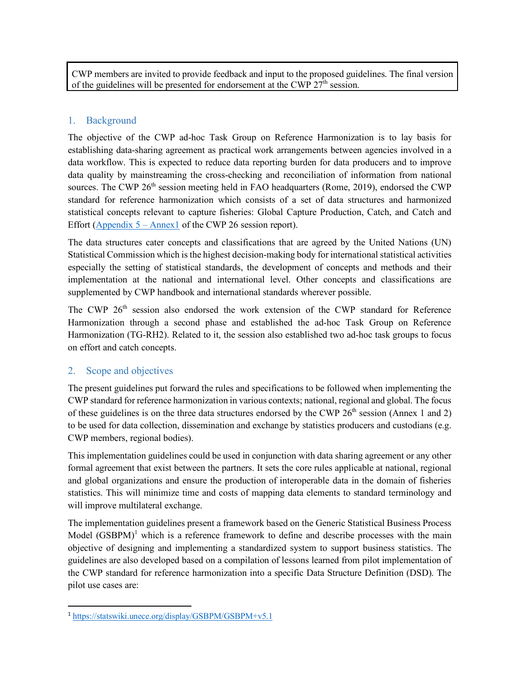CWP members are invited to provide feedback and input to the proposed guidelines. The final version of the guidelines will be presented for endorsement at the CWP  $27<sup>th</sup>$  session.

## 1. Background

The objective of the CWP ad-hoc Task Group on Reference Harmonization is to lay basis for establishing data-sharing agreement as practical work arrangements between agencies involved in a data workflow. This is expected to reduce data reporting burden for data producers and to improve data quality by mainstreaming the cross-checking and reconciliation of information from national sources. The CWP  $26<sup>th</sup>$  session meeting held in FAO headquarters (Rome, 2019), endorsed the CWP standard for reference harmonization which consists of a set of data structures and harmonized statistical concepts relevant to capture fisheries: Global Capture Production, Catch, and Catch and Effort ( $\Delta$ ppendix 5 –  $\Delta$ nnex1 of the CWP 26 session report).

The data structures cater concepts and classifications that are agreed by the United Nations (UN) Statistical Commission which is the highest decision-making body for international statistical activities especially the setting of statistical standards, the development of concepts and methods and their implementation at the national and international level. Other concepts and classifications are supplemented by CWP handbook and international standards wherever possible.

The CWP 26<sup>th</sup> session also endorsed the work extension of the CWP standard for Reference Harmonization through a second phase and established the ad-hoc Task Group on Reference Harmonization (TG-RH2). Related to it, the session also established two ad-hoc task groups to focus on effort and catch concepts.

## 2. Scope and objectives

The present guidelines put forward the rules and specifications to be followed when implementing the CWP standard for reference harmonization in various contexts; national, regional and global. The focus of these guidelines is on the three data structures endorsed by the CWP  $26<sup>th</sup>$  session (Annex 1 and 2) to be used for data collection, dissemination and exchange by statistics producers and custodians (e.g. CWP members, regional bodies).

This implementation guidelines could be used in conjunction with data sharing agreement or any other formal agreement that exist between the partners. It sets the core rules applicable at national, regional and global organizations and ensure the production of interoperable data in the domain of fisheries statistics. This will minimize time and costs of mapping data elements to standard terminology and will improve multilateral exchange.

The implementation guidelines present a framework based on the Generic Statistical Business Process Model  $(GSBPM)^1$  $(GSBPM)^1$  which is a reference framework to define and describe processes with the main objective of designing and implementing a standardized system to support business statistics. The guidelines are also developed based on a compilation of lessons learned from pilot implementation of the CWP standard for reference harmonization into a specific Data Structure Definition (DSD). The pilot use cases are:

<span id="page-1-0"></span><sup>1</sup> <https://statswiki.unece.org/display/GSBPM/GSBPM+v5.1>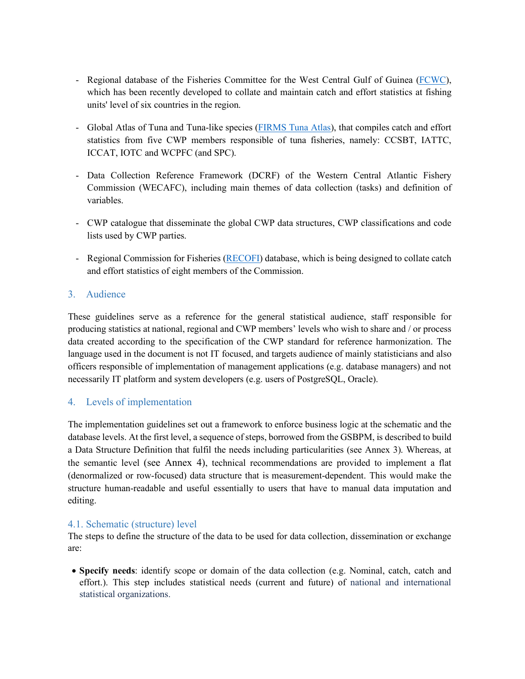- Regional database of the Fisheries Committee for the West Central Gulf of Guinea [\(FCWC\)](https://fcwc-fish.org/), which has been recently developed to collate and maintain catch and effort statistics at fishing units' level of six countries in the region.
- Global Atlas of Tuna and Tuna-like species [\(FIRMS Tuna Atlas\)](http://firms.fao.org/firms/topic/18037/en), that compiles catch and effort statistics from five CWP members responsible of tuna fisheries, namely: CCSBT, IATTC, ICCAT, IOTC and WCPFC (and SPC).
- Data Collection Reference Framework (DCRF) of the Western Central Atlantic Fishery Commission (WECAFC), including main themes of data collection (tasks) and definition of variables.
- CWP catalogue that disseminate the global CWP data structures, CWP classifications and code lists used by CWP parties.
- Regional Commission for Fisheries [\(RECOFI\)](http://www.fao.org/fishery/rfb/recofi/en) database, which is being designed to collate catch and effort statistics of eight members of the Commission.

## 3. Audience

These guidelines serve as a reference for the general statistical audience, staff responsible for producing statistics at national, regional and CWP members' levels who wish to share and / or process data created according to the specification of the CWP standard for reference harmonization. The language used in the document is not IT focused, and targets audience of mainly statisticians and also officers responsible of implementation of management applications (e.g. database managers) and not necessarily IT platform and system developers (e.g. users of PostgreSQL, Oracle).

## 4. Levels of implementation

The implementation guidelines set out a framework to enforce business logic at the schematic and the database levels. At the first level, a sequence of steps, borrowed from the GSBPM, is described to build a Data Structure Definition that fulfil the needs including particularities (see Annex 3). Whereas, at the semantic level (see Annex 4), technical recommendations are provided to implement a flat (denormalized or row-focused) data structure that is measurement-dependent. This would make the structure human-readable and useful essentially to users that have to manual data imputation and editing.

#### 4.1. Schematic (structure) level

The steps to define the structure of the data to be used for data collection, dissemination or exchange are:

• **Specify needs**: identify scope or domain of the data collection (e.g. Nominal, catch, catch and effort.). This step includes statistical needs (current and future) of national and international statistical organizations.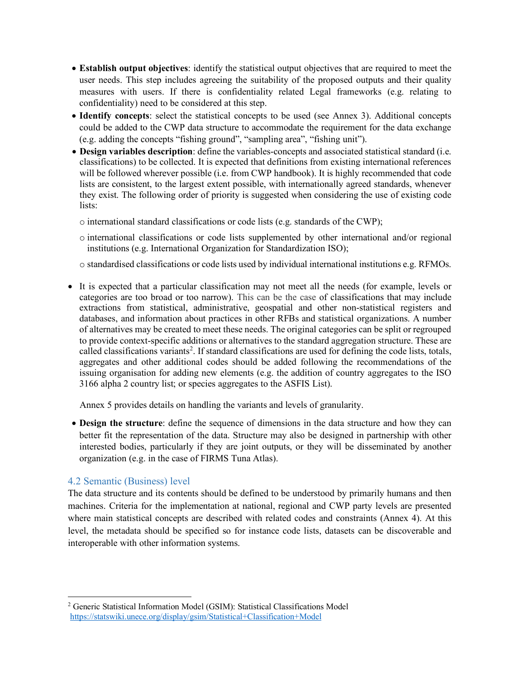- **Establish output objectives**: identify the statistical output objectives that are required to meet the user needs. This step includes agreeing the suitability of the proposed outputs and their quality measures with users. If there is confidentiality related Legal frameworks (e.g. relating to confidentiality) need to be considered at this step.
- **Identify concepts**: select the statistical concepts to be used (see Annex 3). Additional concepts could be added to the CWP data structure to accommodate the requirement for the data exchange (e.g. adding the concepts "fishing ground", "sampling area", "fishing unit").
- **Design variables description**: define the variables-concepts and associated statistical standard (i.e. classifications) to be collected. It is expected that definitions from existing international references will be followed wherever possible (i.e. from CWP handbook). It is highly recommended that code lists are consistent, to the largest extent possible, with internationally agreed standards, whenever they exist. The following order of priority is suggested when considering the use of existing code lists:
	- o international standard classifications or code lists (e.g. standards of the CWP);
	- o international classifications or code lists supplemented by other international and/or regional institutions (e.g. International Organization for Standardization ISO);
	- o standardised classifications or code lists used by individual international institutions e.g. RFMOs.
- It is expected that a particular classification may not meet all the needs (for example, levels or categories are too broad or too narrow). This can be the case of classifications that may include extractions from statistical, administrative, geospatial and other non-statistical registers and databases, and information about practices in other RFBs and statistical organizations. A number of alternatives may be created to meet these needs. The original categories can be split or regrouped to provide context-specific additions or alternatives to the standard aggregation structure. These are called classifications variants<sup>[2](#page-3-0)</sup>. If standard classifications are used for defining the code lists, totals, aggregates and other additional codes should be added following the recommendations of the issuing organisation for adding new elements (e.g. the addition of country aggregates to the ISO 3166 alpha 2 country list; or species aggregates to the ASFIS List).

Annex 5 provides details on handling the variants and levels of granularity.

• **Design the structure**: define the sequence of dimensions in the data structure and how they can better fit the representation of the data. Structure may also be designed in partnership with other interested bodies, particularly if they are joint outputs, or they will be disseminated by another organization (e.g. in the case of FIRMS Tuna Atlas).

#### 4.2 Semantic (Business) level

The data structure and its contents should be defined to be understood by primarily humans and then machines. Criteria for the implementation at national, regional and CWP party levels are presented where main statistical concepts are described with related codes and constraints (Annex 4). At this level, the metadata should be specified so for instance code lists, datasets can be discoverable and interoperable with other information systems.

<span id="page-3-0"></span><sup>2</sup> Generic Statistical Information Model (GSIM): Statistical Classifications Model <https://statswiki.unece.org/display/gsim/Statistical+Classification+Model>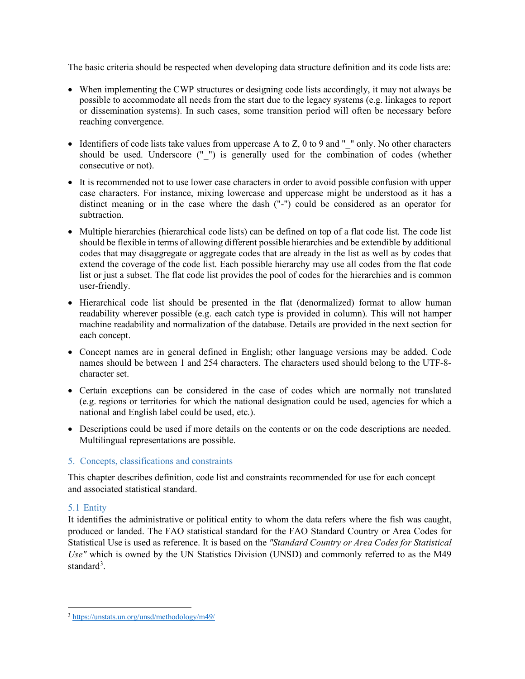The basic criteria should be respected when developing data structure definition and its code lists are:

- When implementing the CWP structures or designing code lists accordingly, it may not always be possible to accommodate all needs from the start due to the legacy systems (e.g. linkages to report or dissemination systems). In such cases, some transition period will often be necessary before reaching convergence.
- Identifiers of code lists take values from uppercase A to Z, 0 to 9 and  $"$  " only. No other characters should be used. Underscore ("\_") is generally used for the combination of codes (whether consecutive or not).
- It is recommended not to use lower case characters in order to avoid possible confusion with upper case characters. For instance, mixing lowercase and uppercase might be understood as it has a distinct meaning or in the case where the dash ("-") could be considered as an operator for subtraction.
- Multiple hierarchies (hierarchical code lists) can be defined on top of a flat code list. The code list should be flexible in terms of allowing different possible hierarchies and be extendible by additional codes that may disaggregate or aggregate codes that are already in the list as well as by codes that extend the coverage of the code list. Each possible hierarchy may use all codes from the flat code list or just a subset. The flat code list provides the pool of codes for the hierarchies and is common user-friendly.
- Hierarchical code list should be presented in the flat (denormalized) format to allow human readability wherever possible (e.g. each catch type is provided in column). This will not hamper machine readability and normalization of the database. Details are provided in the next section for each concept.
- Concept names are in general defined in English; other language versions may be added. Code names should be between 1 and 254 characters. The characters used should belong to the UTF-8 character set.
- Certain exceptions can be considered in the case of codes which are normally not translated (e.g. regions or territories for which the national designation could be used, agencies for which a national and English label could be used, etc.).
- Descriptions could be used if more details on the contents or on the code descriptions are needed. Multilingual representations are possible.

#### 5. Concepts, classifications and constraints

This chapter describes definition, code list and constraints recommended for use for each concept and associated statistical standard.

## 5.1 Entity

It identifies the administrative or political entity to whom the data refers where the fish was caught, produced or landed. The FAO statistical standard for the FAO Standard Country or Area Codes for Statistical Use is used as reference. It is based on the *"Standard Country or Area Codes for Statistical Use"* which is owned by the UN Statistics Division (UNSD) and commonly referred to as the M49 standard<sup>[3](#page-4-0)</sup>.

<span id="page-4-0"></span><sup>3</sup> <https://unstats.un.org/unsd/methodology/m49/>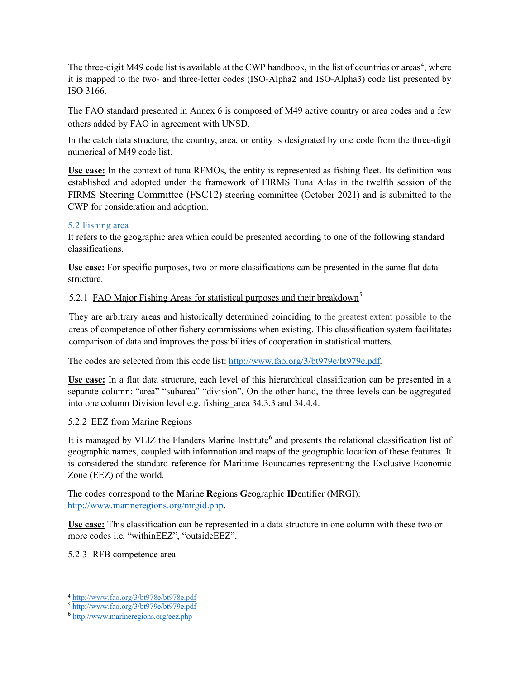The three-digit M[4](#page-5-0)9 code list is available at the CWP handbook, in the list of countries or areas<sup>4</sup>, where it is mapped to the two- and three-letter codes (ISO-Alpha2 and ISO-Alpha3) code list presented by ISO 3166.

The FAO standard presented in Annex 6 is composed of M49 active country or area codes and a few others added by FAO in agreement with UNSD.

In the catch data structure, the country, area, or entity is designated by one code from the three-digit numerical of M49 code list.

**Use case:** In the context of tuna RFMOs, the entity is represented as fishing fleet. Its definition was established and adopted under the framework of FIRMS Tuna Atlas in the twelfth session of the FIRMS Steering Committee (FSC12) steering committee (October 2021) and is submitted to the CWP for consideration and adoption.

#### 5.2 Fishing area

It refers to the geographic area which could be presented according to one of the following standard classifications.

**Use case:** For specific purposes, two or more classifications can be presented in the same flat data structure.

## [5](#page-5-1).2.1 FAO Major Fishing Areas for statistical purposes and their breakdown<sup>5</sup>

They are arbitrary areas and historically determined coinciding to the greatest extent possible to the areas of competence of other fishery commissions when existing. This classification system facilitates comparison of data and improves the possibilities of cooperation in statistical matters.

The codes are selected from this code list[: http://www.fao.org/3/bt979e/bt979e.pdf.](http://www.fao.org/3/bt979e/bt979e.pdf)

**Use case:** In a flat data structure, each level of this hierarchical classification can be presented in a separate column: "area" "subarea" "division". On the other hand, the three levels can be aggregated into one column Division level e.g. fishing\_area 34.3.3 and 34.4.4.

#### 5.2.2 EEZ from Marine Regions

It is managed by VLIZ the Flanders Marine Institute<sup>[6](#page-5-2)</sup> and presents the relational classification list of geographic names, coupled with information and maps of the geographic location of these features. It is considered the standard reference for Maritime Boundaries representing the Exclusive Economic Zone (EEZ) of the world.

The codes correspond to the **M**arine **R**egions **G**eographic **ID**entifier (MRGI): [http://www.marineregions.org/mrgid.php.](http://www.marineregions.org/mrgid.php)

**Use case:** This classification can be represented in a data structure in one column with these two or more codes i.e. "withinEEZ", "outsideEEZ".

5.2.3 RFB competence area

<span id="page-5-0"></span><sup>4</sup> http://www.fao.org/3/bt978e/bt978e.pdf

<span id="page-5-1"></span><sup>5</sup> <http://www.fao.org/3/bt979e/bt979e.pdf>

<span id="page-5-2"></span><sup>6</sup> <http://www.marineregions.org/eez.php>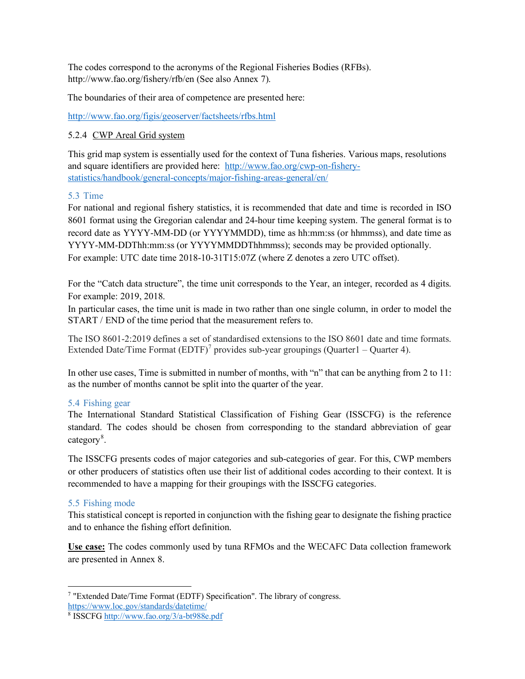The codes correspond to the acronyms of the Regional Fisheries Bodies (RFBs). <http://www.fao.org/fishery/rfb/en> (See also Annex 7).

The boundaries of their area of competence are presented here:

<http://www.fao.org/figis/geoserver/factsheets/rfbs.html>

#### 5.2.4 CWP Areal Grid system

This grid map system is essentially used for the context of Tuna fisheries. Various maps, resolutions and square identifiers are provided here: [http://www.fao.org/cwp-on-fishery](http://www.fao.org/cwp-on-fishery-statistics/handbook/general-concepts/major-fishing-areas-general/en/)[statistics/handbook/general-concepts/major-fishing-areas-general/en/](http://www.fao.org/cwp-on-fishery-statistics/handbook/general-concepts/major-fishing-areas-general/en/)

#### 5.3 Time

For national and regional fishery statistics, it is recommended that date and time is recorded in ISO 8601 format using the Gregorian calendar and 24-hour time keeping system. The general format is to record date as YYYY-MM-DD (or YYYYMMDD), time as hh:mm:ss (or hhmmss), and date time as YYYY-MM-DDThh:mm:ss (or YYYYMMDDThhmmss); seconds may be provided optionally. For example: UTC date time 2018-10-31T15:07Z (where Z denotes a zero UTC offset).

For the "Catch data structure", the time unit corresponds to the Year, an integer, recorded as 4 digits. For example: 2019, 2018.

In particular cases, the time unit is made in two rather than one single column, in order to model the START / END of the time period that the measurement refers to.

The ISO 8601-2:2019 defines a set of standardised extensions to the ISO 8601 date and time formats. Extended Date/Time Format  $(EDTF)^7$  $(EDTF)^7$  provides sub-year groupings (Quarter 1 – Quarter 4).

In other use cases, Time is submitted in number of months, with "n" that can be anything from 2 to 11: as the number of months cannot be split into the quarter of the year.

#### 5.4 Fishing gear

The International Standard Statistical Classification of Fishing Gear (ISSCFG) is the reference standard. The codes should be chosen from corresponding to the standard abbreviation of gear category<sup>[8](#page-6-1)</sup>.

The ISSCFG presents codes of major categories and sub-categories of gear. For this, CWP members or other producers of statistics often use their list of additional codes according to their context. It is recommended to have a mapping for their groupings with the ISSCFG categories.

#### 5.5 Fishing mode

This statistical concept is reported in conjunction with the fishing gear to designate the fishing practice and to enhance the fishing effort definition.

**Use case:** The codes commonly used by tuna RFMOs and the WECAFC Data collection framework are presented in Annex 8.

<span id="page-6-0"></span><sup>7</sup> "Extended Date/Time Format (EDTF) Specification". The library of congress.

<https://www.loc.gov/standards/datetime/>

<span id="page-6-1"></span><sup>8</sup> ISSCF[G http://www.fao.org/3/a-bt988e.pdf](http://www.fao.org/3/a-bt988e.pdf)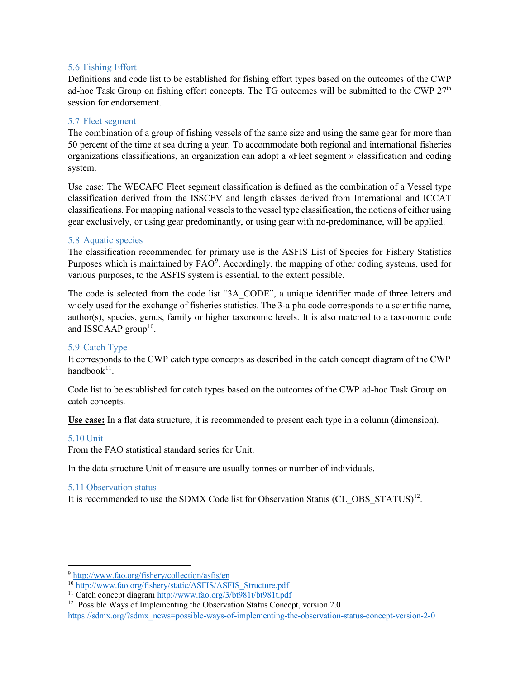#### 5.6 Fishing Effort

Definitions and code list to be established for fishing effort types based on the outcomes of the CWP ad-hoc Task Group on fishing effort concepts. The TG outcomes will be submitted to the CWP  $27<sup>th</sup>$ session for endorsement.

#### 5.7 Fleet segment

The combination of a group of fishing vessels of the same size and using the same gear for more than 50 percent of the time at sea during a year. To accommodate both regional and international fisheries organizations classifications, an organization can adopt a «Fleet segment » classification and coding system.

Use case: The WECAFC Fleet segment classification is defined as the combination of a Vessel type classification derived from the ISSCFV and length classes derived from International and ICCAT classifications. For mapping national vessels to the vessel type classification, the notions of either using gear exclusively, or using gear predominantly, or using gear with no-predominance, will be applied.

#### 5.8 Aquatic species

The classification recommended for primary use is the ASFIS List of Species for Fishery Statistics Purposes which is maintained by  $FAO<sup>9</sup>$  $FAO<sup>9</sup>$  $FAO<sup>9</sup>$ . Accordingly, the mapping of other coding systems, used for various purposes, to the ASFIS system is essential, to the extent possible.

The code is selected from the code list "3A\_CODE", a unique identifier made of three letters and widely used for the exchange of fisheries statistics. The 3-alpha code corresponds to a scientific name, author(s), species, genus, family or higher taxonomic levels. It is also matched to a taxonomic code and ISSCAAP group<sup>[10](#page-7-1)</sup>.

#### 5.9 Catch Type

It corresponds to the CWP catch type concepts as described in the catch concept diagram of the CWP handbook $^{11}$  $^{11}$  $^{11}$ .

Code list to be established for catch types based on the outcomes of the CWP ad-hoc Task Group on catch concepts.

**Use case:** In a flat data structure, it is recommended to present each type in a column (dimension).

#### 5.10 Unit

From the FAO statistical standard series for Unit.

In the data structure Unit of measure are usually tonnes or number of individuals.

#### 5.11 Observation status

It is recommended to use the SDMX Code list for Observation Status (CL OBS  $STATUS$ <sup>[12](#page-7-3)</sup>.

<span id="page-7-0"></span><sup>9</sup> <http://www.fao.org/fishery/collection/asfis/en>

<span id="page-7-1"></span><sup>10</sup> [http://www.fao.org/fishery/static/ASFIS/ASFIS\\_Structure.pdf](http://www.fao.org/fishery/static/ASFIS/ASFIS_Structure.pdf)

<span id="page-7-2"></span><sup>11</sup> Catch concept diagram<http://www.fao.org/3/bt981t/bt981t.pdf>

<span id="page-7-3"></span> $12$  Possible Ways of Implementing the Observation Status Concept, version 2.0

[https://sdmx.org/?sdmx\\_news=possible-ways-of-implementing-the-observation-status-concept-version-2-0](https://sdmx.org/?sdmx_news=possible-ways-of-implementing-the-observation-status-concept-version-2-0)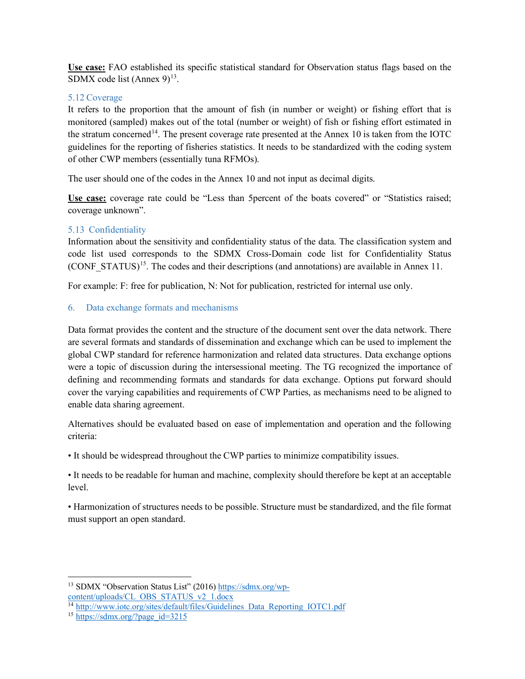**Use case:** FAO established its specific statistical standard for Observation status flags based on the SDMX code list (Annex  $9)^{13}$  $9)^{13}$  $9)^{13}$ .

## 5.12 Coverage

It refers to the proportion that the amount of fish (in number or weight) or fishing effort that is monitored (sampled) makes out of the total (number or weight) of fish or fishing effort estimated in the stratum concerned<sup>[14](#page-8-1)</sup>. The present coverage rate presented at the Annex 10 is taken from the IOTC guidelines for the reporting of fisheries statistics. It needs to be standardized with the coding system of other CWP members (essentially tuna RFMOs).

The user should one of the codes in the Annex 10 and not input as decimal digits.

**Use case:** coverage rate could be "Less than 5percent of the boats covered" or "Statistics raised; coverage unknown".

## 5.13 Confidentiality

Information about the sensitivity and confidentiality status of the data. The classification system and code list used corresponds to the SDMX Cross-Domain code list for Confidentiality Status (CONF STATUS)<sup>15</sup>. The codes and their descriptions (and annotations) are available in Annex 11.

For example: F: free for publication, N: Not for publication, restricted for internal use only.

## 6. Data exchange formats and mechanisms

Data format provides the content and the structure of the document sent over the data network. There are several formats and standards of dissemination and exchange which can be used to implement the global CWP standard for reference harmonization and related data structures. Data exchange options were a topic of discussion during the intersessional meeting. The TG recognized the importance of defining and recommending formats and standards for data exchange. Options put forward should cover the varying capabilities and requirements of CWP Parties, as mechanisms need to be aligned to enable data sharing agreement.

Alternatives should be evaluated based on ease of implementation and operation and the following criteria:

• It should be widespread throughout the CWP parties to minimize compatibility issues.

• It needs to be readable for human and machine, complexity should therefore be kept at an acceptable level.

• Harmonization of structures needs to be possible. Structure must be standardized, and the file format must support an open standard.

<span id="page-8-0"></span><sup>&</sup>lt;sup>13</sup> SDMX "Observation Status List" (2016) [https://sdmx.org/wp](https://sdmx.org/wp-content/uploads/CL_OBS_STATUS_v2_1.docx)[content/uploads/CL\\_OBS\\_STATUS\\_v2\\_1.docx](https://sdmx.org/wp-content/uploads/CL_OBS_STATUS_v2_1.docx)

<span id="page-8-1"></span><sup>&</sup>lt;sup>14</sup> [http://www.iotc.org/sites/default/files/Guidelines\\_Data\\_Reporting\\_IOTC1.pdf](http://www.iotc.org/sites/default/files/Guidelines_Data_Reporting_IOTC1.pdf)

<span id="page-8-2"></span><sup>&</sup>lt;sup>15</sup> [https://sdmx.org/?page\\_id=3215](https://sdmx.org/?page_id=3215)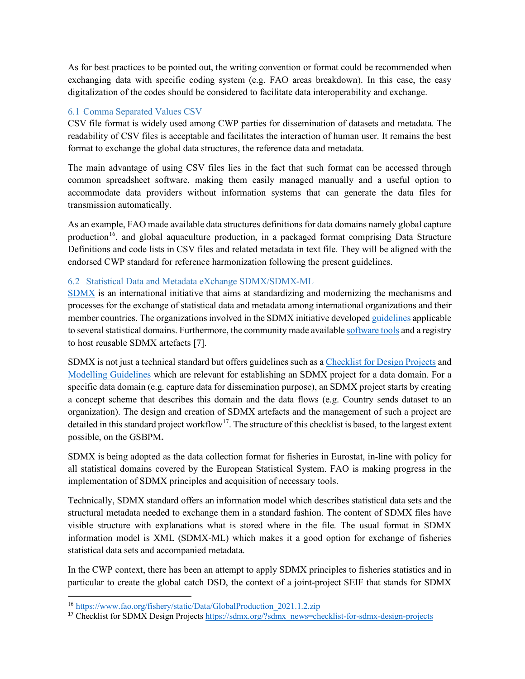As for best practices to be pointed out, the writing convention or format could be recommended when exchanging data with specific coding system (e.g. FAO areas breakdown). In this case, the easy digitalization of the codes should be considered to facilitate data interoperability and exchange.

#### 6.1 Comma Separated Values CSV

CSV file format is widely used among CWP parties for dissemination of datasets and metadata. The readability of CSV files is acceptable and facilitates the interaction of human user. It remains the best format to exchange the global data structures, the reference data and metadata.

The main advantage of using CSV files lies in the fact that such format can be accessed through common spreadsheet software, making them easily managed manually and a useful option to accommodate data providers without information systems that can generate the data files for transmission automatically.

As an example, FAO made available data structures definitions for data domains namely global capture production<sup>16</sup>, and global aquaculture production, in a packaged format comprising Data Structure Definitions and code lists in CSV files and related metadata in text file. They will be aligned with the endorsed CWP standard for reference harmonization following the present guidelines.

## 6.2 Statistical Data and Metadata eXchange SDMX/SDMX-ML

[SDMX](https://sdmx.org/?page_id=3425) is an international initiative that aims at standardizing and modernizing the mechanisms and processes for the exchange of statistical data and metadata among international organizations and their member countries. The organizations involved in the SDMX initiative developed [guidelines](https://sdmx.org/?page_id=4345) applicable to several statistical domains. Furthermore, the community made availabl[e software tools](https://sdmx.org/?page_id=4500) and a registry to host reusable SDMX artefacts [7].

SDMX is not just a technical standard but offers guidelines such as a [Checklist for Design Projects](https://sdmx.org/?sdmx_news=checklist-for-sdmx-design-projects) and [Modelling Guidelines](https://sdmx.org/?page_id=4345#modelling) which are relevant for establishing an SDMX project for a data domain. For a specific data domain (e.g. capture data for dissemination purpose), an SDMX project starts by creating a concept scheme that describes this domain and the data flows (e.g. Country sends dataset to an organization). The design and creation of SDMX artefacts and the management of such a project are detailed in this standard project workflow<sup>[17](#page-9-1)</sup>. The structure of this checklist is based, to the largest extent possible, on the GSBPM**.**

SDMX is being adopted as the data collection format for fisheries in Eurostat, in-line with policy for all statistical domains covered by the European Statistical System. FAO is making progress in the implementation of SDMX principles and acquisition of necessary tools.

Technically, SDMX standard offers an information model which describes statistical data sets and the structural metadata needed to exchange them in a standard fashion. The content of SDMX files have visible structure with explanations what is stored where in the file. The usual format in SDMX information model is XML (SDMX-ML) which makes it a good option for exchange of fisheries statistical data sets and accompanied metadata.

In the CWP context, there has been an attempt to apply SDMX principles to fisheries statistics and in particular to create the global catch DSD, the context of a joint-project SEIF that stands for SDMX

<span id="page-9-0"></span><sup>16</sup> [https://www.fao.org/fishery/static/Data/GlobalProduction\\_2021.1.2.zip](https://www.fao.org/fishery/static/Data/GlobalProduction_2021.1.2.zip)

<span id="page-9-1"></span><sup>17</sup> Checklist for SDMX Design Project[s https://sdmx.org/?sdmx\\_news=checklist-for-sdmx-design-projects](https://sdmx.org/?sdmx_news=checklist-for-sdmx-design-projects)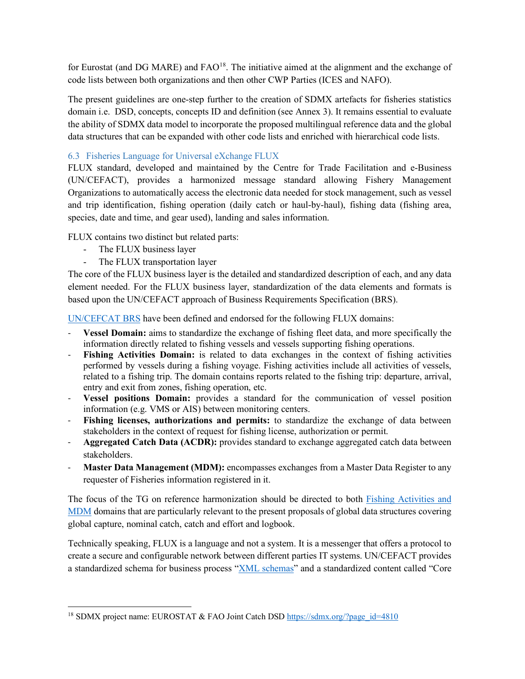for Eurostat (and DG MARE) and  $FAO<sup>18</sup>$ . The initiative aimed at the alignment and the exchange of code lists between both organizations and then other CWP Parties (ICES and NAFO).

The present guidelines are one-step further to the creation of SDMX artefacts for fisheries statistics domain i.e. DSD, concepts, concepts ID and definition (see Annex 3). It remains essential to evaluate the ability of SDMX data model to incorporate the proposed multilingual reference data and the global data structures that can be expanded with other code lists and enriched with hierarchical code lists.

#### 6.3 Fisheries Language for Universal eXchange FLUX

FLUX standard, developed and maintained by the Centre for Trade Facilitation and e-Business (UN/CEFACT), provides a harmonized message standard allowing Fishery Management Organizations to automatically access the electronic data needed for stock management, such as vessel and trip identification, fishing operation (daily catch or haul-by-haul), fishing data (fishing area, species, date and time, and gear used), landing and sales information.

FLUX contains two distinct but related parts:

- The FLUX business layer
- The FLUX transportation layer

The core of the FLUX business layer is the detailed and standardized description of each, and any data element needed. For the FLUX business layer, standardization of the data elements and formats is based upon the UN/CEFACT approach of Business Requirements Specification (BRS).

[UN/CEFCAT BRS](http://www.unece.org/fileadmin/DAM/cefact/brs/FLUX_P1000-v1.1.zip) have been defined and endorsed for the following FLUX domains:

- **Vessel Domain:** aims to standardize the exchange of fishing fleet data, and more specifically the information directly related to fishing vessels and vessels supporting fishing operations.
- **Fishing Activities Domain:** is related to data exchanges in the context of fishing activities performed by vessels during a fishing voyage. Fishing activities include all activities of vessels, related to a fishing trip. The domain contains reports related to the fishing trip: departure, arrival, entry and exit from zones, fishing operation, etc.
- **Vessel positions Domain:** provides a standard for the communication of vessel position information (e.g. VMS or AIS) between monitoring centers.
- **Fishing licenses, authorizations and permits:** to standardize the exchange of data between stakeholders in the context of request for fishing license, authorization or permit.
- **Aggregated Catch Data (ACDR):** provides standard to exchange aggregated catch data between stakeholders.
- Master Data Management (MDM): encompasses exchanges from a Master Data Register to any requester of Fisheries information registered in it.

The focus of the TG on reference harmonization should be directed to both [Fishing Activities and](http://www.unece.org/fileadmin/DAM/cefact/brs/FLUX_P1000-v1.1.zip)  [MDM](http://www.unece.org/fileadmin/DAM/cefact/brs/FLUX_P1000-v1.1.zip) domains that are particularly relevant to the present proposals of global data structures covering global capture, nominal catch, catch and effort and logbook.

Technically speaking, FLUX is a language and not a system. It is a messenger that offers a protocol to create a secure and configurable network between different parties IT systems. UN/CEFACT provides a standardized schema for business process ["XML schemas"](http://www.unece.org/cefact/xml_schemas/index) and a standardized content called "Core

<span id="page-10-0"></span><sup>&</sup>lt;sup>18</sup> SDMX project name: EUROSTAT & FAO Joint Catch DS[D https://sdmx.org/?page\\_id=4810](https://sdmx.org/?page_id=4810)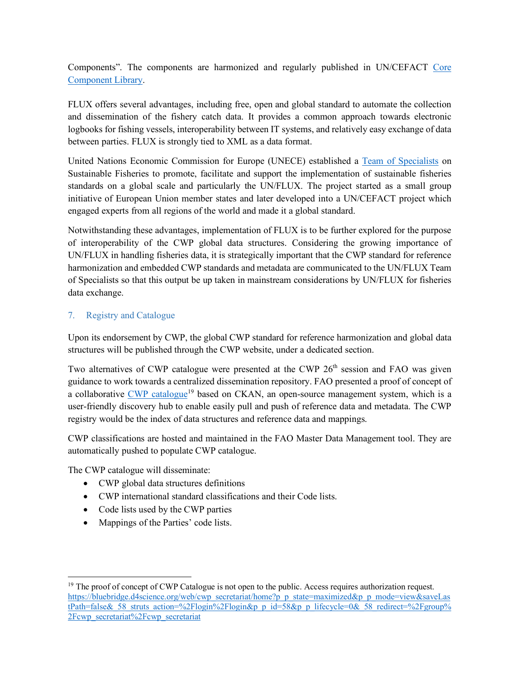Components". The components are harmonized and regularly published in UN/CEFACT [Core](http://www.unece.org/cefact/codesfortrade/unccl/ccl_index.html)  [Component Library.](http://www.unece.org/cefact/codesfortrade/unccl/ccl_index.html)

FLUX offers several advantages, including free, open and global standard to automate the collection and dissemination of the fishery catch data. It provides a common approach towards electronic logbooks for fishing vessels, interoperability between IT systems, and relatively easy exchange of data between parties. FLUX is strongly tied to XML as a data format.

United Nations Economic Commission for Europe (UNECE) established a [Team of Specialists](https://www.unece.org/fileadmin/DAM/cefact/cf_plenary/2017_Plenary/ECE_TRADE_C_CEFACT_2017_16_Rev1E_ToR_Fisheries_Team_Final.pdf) on Sustainable Fisheries to promote, facilitate and support the implementation of sustainable fisheries standards on a global scale and particularly the UN/FLUX. The project started as a small group initiative of European Union member states and later developed into a UN/CEFACT project which engaged experts from all regions of the world and made it a global standard.

Notwithstanding these advantages, implementation of FLUX is to be further explored for the purpose of interoperability of the CWP global data structures. Considering the growing importance of UN/FLUX in handling fisheries data, it is strategically important that the CWP standard for reference harmonization and embedded CWP standards and metadata are communicated to the UN/FLUX Team of Specialists so that this output be up taken in mainstream considerations by UN/FLUX for fisheries data exchange.

## 7. Registry and Catalogue

Upon its endorsement by CWP, the global CWP standard for reference harmonization and global data structures will be published through the CWP website, under a dedicated section.

Two alternatives of CWP catalogue were presented at the CWP  $26<sup>th</sup>$  session and FAO was given guidance to work towards a centralized dissemination repository. FAO presented a proof of concept of a collaborative [CWP catalogue](https://bluebridge.d4science.org/web/cwp_secretariat/home?p_p_state=maximized&p_p_mode=view&saveLastPath=false&_58_struts_action=%2Flogin%2Flogin&p_p_id=58&p_p_lifecycle=0&_58_redirect=%2Fgroup%2Fcwp_secretariat%2Fcwp_secretariat)<sup>[19](#page-11-0)</sup> based on CKAN, an open-source management system, which is a user-friendly discovery hub to enable easily pull and push of reference data and metadata. The CWP registry would be the index of data structures and reference data and mappings.

CWP classifications are hosted and maintained in the FAO Master Data Management tool. They are automatically pushed to populate CWP catalogue.

The CWP catalogue will disseminate:

- CWP global data structures definitions
- CWP international standard classifications and their Code lists.
- Code lists used by the CWP parties
- Mappings of the Parties' code lists.

<span id="page-11-0"></span> $19$  The proof of concept of CWP Catalogue is not open to the public. Access requires authorization request. [https://bluebridge.d4science.org/web/cwp\\_secretariat/home?p\\_p\\_state=maximized&p\\_p\\_mode=view&saveLas](https://bluebridge.d4science.org/web/cwp_secretariat/home?p_p_state=maximized&p_p_mode=view&saveLastPath=false&_58_struts_action=%2Flogin%2Flogin&p_p_id=58&p_p_lifecycle=0&_58_redirect=%2Fgroup%2Fcwp_secretariat%2Fcwp_secretariat) tPath=false& 58\_struts\_action=%2Flogin%2Flogin&p\_p\_id=58&p\_p\_lifecycle=0&\_58\_redirect=%2Fgroup% [2Fcwp\\_secretariat%2Fcwp\\_secretariat](https://bluebridge.d4science.org/web/cwp_secretariat/home?p_p_state=maximized&p_p_mode=view&saveLastPath=false&_58_struts_action=%2Flogin%2Flogin&p_p_id=58&p_p_lifecycle=0&_58_redirect=%2Fgroup%2Fcwp_secretariat%2Fcwp_secretariat)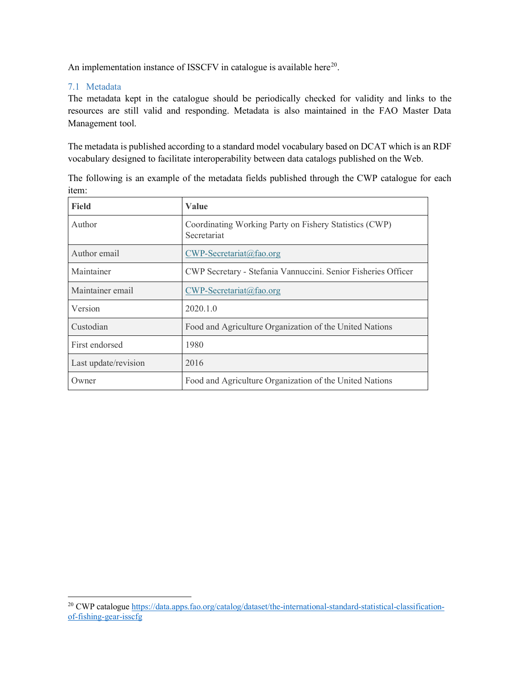An implementation instance of ISSCFV in catalogue is available here<sup>[20](#page-12-0)</sup>.

#### 7.1 Metadata

The metadata kept in the catalogue should be periodically checked for validity and links to the resources are still valid and responding. Metadata is also maintained in the FAO Master Data Management tool.

The metadata is published according to a standard model vocabulary based on DCAT which is an RDF vocabulary designed to facilitate interoperability between data catalogs published on the Web.

| <b>Field</b>         | Value                                                                 |  |  |  |
|----------------------|-----------------------------------------------------------------------|--|--|--|
| Author               | Coordinating Working Party on Fishery Statistics (CWP)<br>Secretariat |  |  |  |
| Author email         | $CWP\text{-}Secretariat@fao.org$                                      |  |  |  |
| Maintainer           | CWP Secretary - Stefania Vannuccini. Senior Fisheries Officer         |  |  |  |
| Maintainer email     | $CWP$ -Secretariat@fao.org                                            |  |  |  |
| Version              | 2020.1.0                                                              |  |  |  |
| Custodian            | Food and Agriculture Organization of the United Nations               |  |  |  |
| First endorsed       | 1980                                                                  |  |  |  |
| Last update/revision | 2016                                                                  |  |  |  |
| Owner                | Food and Agriculture Organization of the United Nations               |  |  |  |

The following is an example of the metadata fields published through the CWP catalogue for each item:

<span id="page-12-0"></span><sup>&</sup>lt;sup>20</sup> CWP catalogu[e https://data.apps.fao.org/catalog/dataset/the-international-standard-statistical-classification](https://data.apps.fao.org/catalog/dataset/the-international-standard-statistical-classification-of-fishing-gear-isscfg)[of-fishing-gear-isscfg](https://data.apps.fao.org/catalog/dataset/the-international-standard-statistical-classification-of-fishing-gear-isscfg)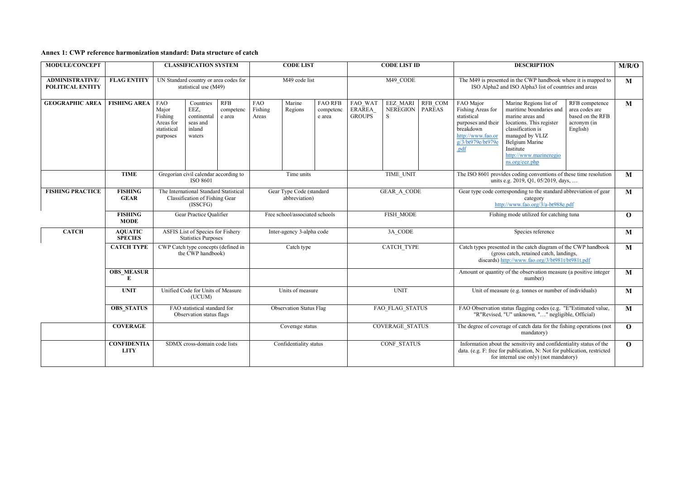| Annex 1: CWP reference harmonization standard: Data structure of catch |  |  |
|------------------------------------------------------------------------|--|--|
|------------------------------------------------------------------------|--|--|

| <b>MODULE/CONCEPT</b>                      |                                   | <b>CLASSIFICATION SYSTEM</b>                                                                                                                                       |                                                                          | <b>CODE LIST</b>               |                                           | <b>CODE LIST ID</b>                   |                                    | <b>DESCRIPTION</b>        |                                                                                                                                                               |                                                                                                                                                                                          | M/R/O                                                                                                                                                                                                                |                                                                                 |              |
|--------------------------------------------|-----------------------------------|--------------------------------------------------------------------------------------------------------------------------------------------------------------------|--------------------------------------------------------------------------|--------------------------------|-------------------------------------------|---------------------------------------|------------------------------------|---------------------------|---------------------------------------------------------------------------------------------------------------------------------------------------------------|------------------------------------------------------------------------------------------------------------------------------------------------------------------------------------------|----------------------------------------------------------------------------------------------------------------------------------------------------------------------------------------------------------------------|---------------------------------------------------------------------------------|--------------|
| <b>ADMINISTRATIVE/</b><br>POLITICAL ENTITY | <b>FLAG ENTITY</b>                | UN Standard country or area codes for<br>statistical use (M49)                                                                                                     |                                                                          | M49 code list                  |                                           |                                       | M49 CODE                           |                           |                                                                                                                                                               | The M49 is presented in the CWP handbook where it is mapped to<br>ISO Alpha2 and ISO Alpha3 list of countries and areas                                                                  |                                                                                                                                                                                                                      | $\mathbf{M}$                                                                    |              |
| <b>GEOGRAPHIC AREA</b>                     | <b>FISHING AREA</b>               | <b>FAO</b><br><b>RFB</b><br>Countries<br>Major<br>EEZ,<br>Fishing<br>continental<br>e area<br>Areas for<br>seas and<br>inland<br>statistical<br>waters<br>purposes | competenc                                                                | <b>FAO</b><br>Fishing<br>Areas | Marine<br>Regions                         | <b>FAO RFB</b><br>competenc<br>e area | FAO WAT<br>ERAREA<br><b>GROUPS</b> | EEZ MARI<br>NEREGION<br>S | RFB COM<br><b>PAREAS</b>                                                                                                                                      | FAO Major<br>Fishing Areas for<br>statistical<br>purposes and their<br>breakdown<br>http://www.fao.or<br>g/3/bt979e/bt979e<br>.pdf                                                       | Marine Regions list of<br>maritime boundaries and<br>marine areas and<br>locations. This register<br>classification is<br>managed by VLIZ<br>Belgium Marine<br>Institute<br>http://www.marineregio<br>ns.org/eez.php | RFB competence<br>area codes are<br>based on the RFB<br>acronym (in<br>English) | $\mathbf{M}$ |
|                                            | <b>TIME</b>                       | Gregorian civil calendar according to<br><b>ISO 8601</b>                                                                                                           |                                                                          | Time units                     |                                           |                                       | TIME UNIT                          |                           | The ISO 8601 provides coding conventions of these time resolution<br>units e.g. 2019, Q1, 05/2019, days,                                                      |                                                                                                                                                                                          | $\mathbf{M}$                                                                                                                                                                                                         |                                                                                 |              |
| <b>FISHING PRACTICE</b>                    | <b>FISHING</b><br><b>GEAR</b>     | (ISSCFG)                                                                                                                                                           | The International Standard Statistical<br>Classification of Fishing Gear |                                | Gear Type Code (standard<br>abbreviation) |                                       | <b>GEAR A CODE</b>                 |                           | Gear type code corresponding to the standard abbreviation of gear<br>category<br>http://www.fao.org/3/a-bt988e.pdf                                            |                                                                                                                                                                                          | $\mathbf{M}$                                                                                                                                                                                                         |                                                                                 |              |
|                                            | <b>FISHING</b><br><b>MODE</b>     | Gear Practice Qualifier                                                                                                                                            |                                                                          |                                | Free school/associated schools            |                                       | FISH MODE                          |                           | Fishing mode utilized for catching tuna                                                                                                                       |                                                                                                                                                                                          | $\mathbf{O}$                                                                                                                                                                                                         |                                                                                 |              |
| <b>CATCH</b>                               | <b>AQUATIC</b><br><b>SPECIES</b>  | <b>ASFIS List of Species for Fishery</b><br><b>Statistics Purposes</b>                                                                                             |                                                                          | Inter-agency 3-alpha code      |                                           |                                       | 3A CODE                            |                           |                                                                                                                                                               | Species reference                                                                                                                                                                        |                                                                                                                                                                                                                      | M                                                                               |              |
|                                            | <b>CATCH TYPE</b>                 | CWP Catch type concepts (defined in<br>the CWP handbook)                                                                                                           |                                                                          |                                | <b>CATCH TYPE</b><br>Catch type           |                                       |                                    |                           | Catch types presented in the catch diagram of the CWP handbook<br>(gross catch, retained catch, landings,<br>discards) http://www.fao.org/3/bt981t/bt981t.pdf |                                                                                                                                                                                          | $\mathbf{M}$                                                                                                                                                                                                         |                                                                                 |              |
|                                            | <b>OBS_MEASUR</b><br>E            |                                                                                                                                                                    |                                                                          |                                |                                           |                                       |                                    |                           |                                                                                                                                                               |                                                                                                                                                                                          | Amount or quantity of the observation measure (a positive integer<br>number)                                                                                                                                         |                                                                                 | M            |
|                                            | <b>UNIT</b>                       | Unified Code for Units of Measure<br>(UCUM)                                                                                                                        |                                                                          | Units of measure               |                                           |                                       | <b>UNIT</b>                        |                           | Unit of measure (e.g. tonnes or number of individuals)                                                                                                        |                                                                                                                                                                                          | $\mathbf M$                                                                                                                                                                                                          |                                                                                 |              |
|                                            | <b>OBS STATUS</b>                 | FAO statistical standard for<br>Observation status flags                                                                                                           |                                                                          |                                | <b>Observation Status Flag</b>            |                                       |                                    | FAO FLAG STATUS           |                                                                                                                                                               |                                                                                                                                                                                          | FAO Observation status flagging codes (e.g. "E"Estimated value,<br>"R"Revised, "U" unknown, "" negligible, Official)                                                                                                 |                                                                                 | $\mathbf{M}$ |
|                                            | <b>COVERAGE</b>                   |                                                                                                                                                                    |                                                                          |                                | Coverage status                           |                                       |                                    | <b>COVERAGE STATUS</b>    |                                                                                                                                                               |                                                                                                                                                                                          | The degree of coverage of catch data for the fishing operations (not<br>mandatory)                                                                                                                                   |                                                                                 | $\mathbf{O}$ |
|                                            | <b>CONFIDENTIA</b><br><b>LITY</b> | SDMX cross-domain code lists                                                                                                                                       |                                                                          | Confidentiality status         |                                           |                                       | CONF STATUS                        |                           |                                                                                                                                                               | Information about the sensitivity and confidentiality status of the<br>data. (e.g. F: free for publication, N: Not for publication, restricted<br>for internal use only) (not mandatory) |                                                                                                                                                                                                                      | $\mathbf{O}$                                                                    |              |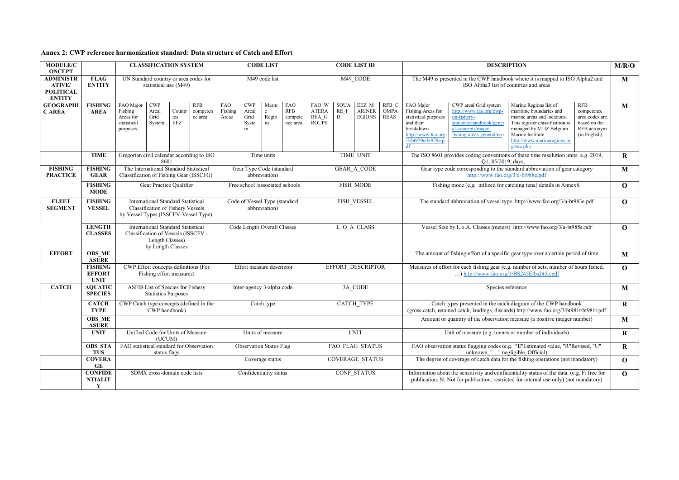| Annex 2: CWP reference harmonization standard: Data structure of Catch and Effort |  |
|-----------------------------------------------------------------------------------|--|
|-----------------------------------------------------------------------------------|--|

| <b>MODULE/C</b><br><b>ONCEPT</b>                                       |                                                |                                                              |                                       | <b>CLASSIFICATION SYSTEM</b>                                                                                                  |                                                |                                           | <b>CODE LIST</b>                          |                                          | <b>CODE LIST ID</b>                                                                                                                                                                                  |                                                                                                                                       | <b>DESCRIPTION</b>                                                                                                      |                                     |                                                                                                                                    |                                                                                                                                                | M/R/O                                                                                                                                                                                                          |                                                                                           |              |
|------------------------------------------------------------------------|------------------------------------------------|--------------------------------------------------------------|---------------------------------------|-------------------------------------------------------------------------------------------------------------------------------|------------------------------------------------|-------------------------------------------|-------------------------------------------|------------------------------------------|------------------------------------------------------------------------------------------------------------------------------------------------------------------------------------------------------|---------------------------------------------------------------------------------------------------------------------------------------|-------------------------------------------------------------------------------------------------------------------------|-------------------------------------|------------------------------------------------------------------------------------------------------------------------------------|------------------------------------------------------------------------------------------------------------------------------------------------|----------------------------------------------------------------------------------------------------------------------------------------------------------------------------------------------------------------|-------------------------------------------------------------------------------------------|--------------|
| <b>ADMINISTR</b><br><b>ATIVE/</b><br><b>POLITICAL</b><br><b>ENTITY</b> | <b>FLAG</b><br><b>ENTITY</b>                   |                                                              | statistical use (M49)                 | UN Standard country or area codes for                                                                                         |                                                | M49 code list                             |                                           | M49 CODE                                 |                                                                                                                                                                                                      |                                                                                                                                       | The M49 is presented in the CWP handbook where it is mapped to ISO Alpha2 and<br>ISO Alpha3 list of countries and areas |                                     |                                                                                                                                    | M                                                                                                                                              |                                                                                                                                                                                                                |                                                                                           |              |
| <b>GEOGRAPHI</b><br><b>CAREA</b>                                       | <b>FISHING</b><br><b>AREA</b>                  | FAO Major<br>Fishing<br>Areas for<br>statistical<br>purposes | <b>CWP</b><br>Areal<br>Grid<br>System | <b>RFB</b><br>Countr<br>competen<br>ies<br>ce area<br><b>EEZ</b>                                                              | FAO<br>Fishing<br>Areas                        | <b>CWP</b><br>Areal<br>Grid<br>Syste<br>m | Marin<br>e<br>Regio<br>ns                 | <b>FAO</b><br>RFB<br>compete<br>nce area | FAO W<br><b>ATERA</b><br>REA G<br><b>ROUPS</b>                                                                                                                                                       | <b>SQUA</b><br>RE I<br>D                                                                                                              | EEZ M<br><b>ARINER</b><br><b>EGIONS</b>                                                                                 | RFB C<br><b>OMPA</b><br><b>REAS</b> | FAO Major<br>Fishing Areas for<br>statistical purposes<br>and their<br>breakdown<br>http://www.fao.org<br>/3/bt979e/bt979e.p<br>df | CWP areal Grid system<br>http://www.fao.org/cwp-<br>on-fishery-<br>statistics/handbook/gener<br>al-concepts/major-<br>fishing-areas-general/en | Marine Regions list of<br>maritime boundaries and<br>marine areas and locations.<br>This register classification is<br>managed by VLIZ Belgium<br>Marine Institute<br>http://www.marineregions.or<br>g/eez.php | <b>RFB</b><br>competence<br>area codes are<br>based on the<br>RFB acronym<br>(in English) | $\mathbf{M}$ |
|                                                                        | <b>TIME</b>                                    |                                                              | 8601                                  | Gregorian civil calendar according to ISO                                                                                     |                                                | Time units                                |                                           | TIME UNIT                                |                                                                                                                                                                                                      | Q1, 05/2019, days,                                                                                                                    | The ISO 8601 provides coding conventions of these time resolution units e.g. 2019,                                      |                                     | $\mathbf{R}$                                                                                                                       |                                                                                                                                                |                                                                                                                                                                                                                |                                                                                           |              |
| <b>FISHING</b><br><b>PRACTICE</b>                                      | <b>FISHING</b><br><b>GEAR</b>                  |                                                              |                                       | The International Standard Statistical<br>Classification of Fishing Gear (ISSCFG)                                             |                                                |                                           | Gear Type Code (standard<br>abbreviation) |                                          |                                                                                                                                                                                                      | Gear type code corresponding to the standard abbreviation of gear category<br><b>GEAR A CODE</b><br>http://www.fao.org/3/a-bt988e.pdf |                                                                                                                         |                                     |                                                                                                                                    | M                                                                                                                                              |                                                                                                                                                                                                                |                                                                                           |              |
|                                                                        | <b>FISHING</b><br><b>MODE</b>                  |                                                              |                                       | Gear Practice Qualifier                                                                                                       | Free school /associated schools                |                                           |                                           |                                          |                                                                                                                                                                                                      | FISH MODE                                                                                                                             |                                                                                                                         |                                     |                                                                                                                                    | Fishing mode (e.g. utilized for catching tuna) details in Annex8.                                                                              |                                                                                                                                                                                                                | $\mathbf{O}$                                                                              |              |
| <b>FLEET</b><br><b>SEGMENT</b>                                         | <b>FISHING</b><br><b>VESSEL</b>                |                                                              |                                       | <b>International Standard Statistical</b><br><b>Classification of Fishery Vessels</b><br>by Vessel Types (ISSCFV-Vessel Type) | Code of Vessel Type (standard<br>abbreviation) |                                           |                                           |                                          | FISH VESSEL<br>The standard abbreviation of vessel type http://www.fao.org/3/a-bt983e.pdf                                                                                                            |                                                                                                                                       |                                                                                                                         | $\mathbf{O}$                        |                                                                                                                                    |                                                                                                                                                |                                                                                                                                                                                                                |                                                                                           |              |
|                                                                        | <b>LENGTH</b><br><b>CLASSES</b>                |                                                              | Length Classes)<br>by Length Classes  | <b>International Standard Statistical</b><br>Classification of Vessels (ISSCFV -                                              |                                                | Code Length Overall Classes               |                                           |                                          |                                                                                                                                                                                                      | L O A CLASS                                                                                                                           | Vessel Size by L.o.A. Classes (meters) http://www.fao.org/3/a-bt985e.pdf                                                |                                     |                                                                                                                                    | $\mathbf{O}$                                                                                                                                   |                                                                                                                                                                                                                |                                                                                           |              |
| <b>EFFORT</b>                                                          | <b>OBS ME</b><br><b>ASURE</b>                  |                                                              |                                       |                                                                                                                               |                                                |                                           |                                           |                                          |                                                                                                                                                                                                      |                                                                                                                                       |                                                                                                                         |                                     |                                                                                                                                    |                                                                                                                                                | The amount of fishing effort of a specific gear type over a certain period of time                                                                                                                             |                                                                                           | M            |
|                                                                        | <b>FISHING</b><br><b>EFFORT</b><br><b>UNIT</b> |                                                              |                                       | CWP Effort concepts definitions (For<br>Fishing effort measures)                                                              | Effort measure descriptor                      |                                           | EFFORT DESCRIPTOR                         |                                          | Measures of effort for each fishing gear (e.g. number of sets, number of hours fished,<br>) http://www.fao.org/3/BS245E/bs245e.pdf                                                                   |                                                                                                                                       | $\mathbf{O}$                                                                                                            |                                     |                                                                                                                                    |                                                                                                                                                |                                                                                                                                                                                                                |                                                                                           |              |
| <b>CATCH</b>                                                           | <b>AQUATIC</b><br><b>SPECIES</b>               |                                                              | <b>Statistics Purposes</b>            | ASFIS List of Species for Fishery                                                                                             |                                                |                                           | Inter-agency 3-alpha code                 |                                          | 3A CODE<br>Species reference                                                                                                                                                                         |                                                                                                                                       |                                                                                                                         | M                                   |                                                                                                                                    |                                                                                                                                                |                                                                                                                                                                                                                |                                                                                           |              |
|                                                                        | <b>CATCH</b><br><b>TYPE</b>                    |                                                              | CWP handbook)                         | CWP Catch type concepts (defined in the                                                                                       |                                                |                                           | Catch type                                |                                          | <b>CATCH TYPE</b><br>Catch types presented in the catch diagram of the CWP handbook<br>(gross catch, retained catch, landings, discards) http://www.fao.org/3/bt981t/bt981t.pdf                      |                                                                                                                                       |                                                                                                                         |                                     | $\mathbf R$                                                                                                                        |                                                                                                                                                |                                                                                                                                                                                                                |                                                                                           |              |
|                                                                        | <b>OBS ME</b><br><b>ASURE</b>                  |                                                              |                                       |                                                                                                                               |                                                |                                           |                                           |                                          |                                                                                                                                                                                                      |                                                                                                                                       |                                                                                                                         |                                     |                                                                                                                                    |                                                                                                                                                | Amount or quantity of the observation measure (a positive integer number)                                                                                                                                      |                                                                                           | M            |
|                                                                        | <b>UNIT</b>                                    |                                                              | (UCUM)                                | Unified Code for Units of Measure                                                                                             |                                                |                                           | Units of measure                          |                                          |                                                                                                                                                                                                      |                                                                                                                                       | <b>UNIT</b>                                                                                                             |                                     |                                                                                                                                    |                                                                                                                                                | Unit of measure (e.g. tonnes or number of individuals)                                                                                                                                                         |                                                                                           | $\bf R$      |
|                                                                        | <b>OBS STA</b><br><b>TUS</b>                   |                                                              | status flags                          | FAO statistical standard for Observation                                                                                      |                                                |                                           | <b>Observation Status Flag</b>            |                                          |                                                                                                                                                                                                      |                                                                                                                                       | FAO FLAG STATUS                                                                                                         |                                     |                                                                                                                                    |                                                                                                                                                | FAO observation status flagging codes (e.g. "E"Estimated value, "R"Revised, "U"<br>unknown, "" negligible, Official)                                                                                           |                                                                                           | $\mathbf{R}$ |
|                                                                        | <b>COVERA</b><br>GE                            |                                                              |                                       |                                                                                                                               |                                                |                                           | Coverage status                           |                                          |                                                                                                                                                                                                      |                                                                                                                                       | COVERAGE STATUS                                                                                                         |                                     |                                                                                                                                    |                                                                                                                                                | The degree of coverage of catch data for the fishing operations (not mandatory)                                                                                                                                |                                                                                           | $\mathbf{O}$ |
|                                                                        | <b>CONFIDE</b><br><b>NTIALIT</b><br>Y          |                                                              |                                       | SDMX cross-domain code lists                                                                                                  |                                                |                                           | Confidentiality status                    |                                          | CONF STATUS<br>Information about the sensitivity and confidentiality status of the data. (e.g. F: free for<br>publication, N: Not for publication, restricted for internal use only) (not mandatory) |                                                                                                                                       |                                                                                                                         |                                     | $\mathbf{O}$                                                                                                                       |                                                                                                                                                |                                                                                                                                                                                                                |                                                                                           |              |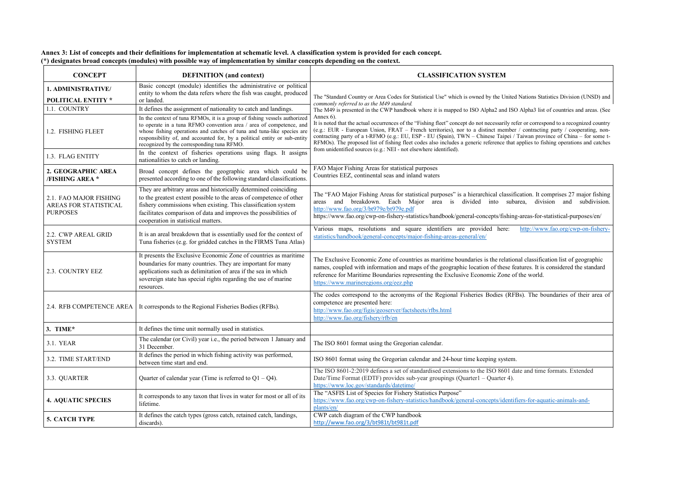**Annex 3: List of concepts and their definitions for implementation at schematic level. A classification system is provided for each concept. (\*) designates broad concepts (modules) with possible way of implementation by similar concepts depending on the context.**

| <b>CONCEPT</b>                                                     | <b>DEFINITION</b> (and context)                                                                                                                                                                                                                                                                                                                       | <b>CLASSIFICATION SYSTEM</b>                                                                                                                                                                                                                                                                                                                                                                                                                                                                                                                     |
|--------------------------------------------------------------------|-------------------------------------------------------------------------------------------------------------------------------------------------------------------------------------------------------------------------------------------------------------------------------------------------------------------------------------------------------|--------------------------------------------------------------------------------------------------------------------------------------------------------------------------------------------------------------------------------------------------------------------------------------------------------------------------------------------------------------------------------------------------------------------------------------------------------------------------------------------------------------------------------------------------|
| 1. ADMINISTRATIVE/<br><b>POLITICAL ENTITY *</b>                    | Basic concept (module) identifies the administrative or political<br>entity to whom the data refers where the fish was caught, produced<br>or landed.                                                                                                                                                                                                 | The "Standard Country or Area Codes for Statistical Use" which is owned by the United Nations Statistics Division (UNSD) and                                                                                                                                                                                                                                                                                                                                                                                                                     |
| 1.1. COUNTRY                                                       | It defines the assignment of nationality to catch and landings.                                                                                                                                                                                                                                                                                       | commonly referred to as the M49 standard.<br>The M49 is presented in the CWP handbook where it is mapped to ISO Alpha2 and ISO Alpha3 list of countries and areas. (See                                                                                                                                                                                                                                                                                                                                                                          |
| 1.2. FISHING FLEET                                                 | In the context of tuna RFMOs, it is a group of fishing vessels authorized<br>to operate in a tuna RFMO convention area / area of competence, and<br>whose fishing operations and catches of tuna and tuna-like species are<br>responsibility of, and accounted for, by a political entity or sub-entity<br>recognized by the corresponding tuna RFMO. | Annex 6).<br>It is noted that the actual occurrences of the "Fishing fleet" concept do not necessarily refer or correspond to a recognized country<br>(e.g.: EUR - European Union, FRAT – French territories), nor to a distinct member / contracting party / cooperating, non-<br>contracting party of a t-RFMO (e.g.: EU, ESP - EU (Spain), TWN – Chinese Taipei / Taiwan province of China – for some t-<br>RFMOs). The proposed list of fishing fleet codes also includes a generic reference that applies to fishing operations and catches |
| 1.3. FLAG ENTITY                                                   | In the context of fisheries operations using flags. It assigns<br>nationalities to catch or landing.                                                                                                                                                                                                                                                  | from unidentified sources (e.g.: NEI - not elsewhere identified).                                                                                                                                                                                                                                                                                                                                                                                                                                                                                |
| 2. GEOGRAPHIC AREA<br><b>/FISHING AREA *</b>                       | Broad concept defines the geographic area which could be<br>presented according to one of the following standard classifications.                                                                                                                                                                                                                     | FAO Major Fishing Areas for statistical purposes<br>Countries EEZ, continental seas and inland waters                                                                                                                                                                                                                                                                                                                                                                                                                                            |
| 2.1. FAO MAJOR FISHING<br>AREAS FOR STATISTICAL<br><b>PURPOSES</b> | They are arbitrary areas and historically determined coinciding<br>to the greatest extent possible to the areas of competence of other<br>fishery commissions when existing. This classification system<br>facilitates comparison of data and improves the possibilities of<br>cooperation in statistical matters.                                    | The "FAO Major Fishing Areas for statistical purposes" is a hierarchical classification. It comprises 27 major fishing<br>and breakdown. Each Major area is divided into subarea, division and subdivision.<br>areas<br>http://www.fao.org/3/bt979e/bt979e.pdf<br>https://www.fao.org/cwp-on-fishery-statistics/handbook/general-concepts/fishing-areas-for-statistical-purposes/en/                                                                                                                                                             |
| 2.2. CWP AREAL GRID<br><b>SYSTEM</b>                               | It is an areal breakdown that is essentially used for the context of<br>Tuna fisheries (e.g. for gridded catches in the FIRMS Tuna Atlas)                                                                                                                                                                                                             | Various maps, resolutions and square identifiers are provided here:<br>http://www.fao.org/cwp-on-fishery-<br>statistics/handbook/general-concepts/major-fishing-areas-general/en/                                                                                                                                                                                                                                                                                                                                                                |
| 2.3. COUNTRY EEZ                                                   | It presents the Exclusive Economic Zone of countries as maritime<br>boundaries for many countries. They are important for many<br>applications such as delimitation of area if the sea in which<br>sovereign state has special rights regarding the use of marine<br>resources.                                                                       | The Exclusive Economic Zone of countries as maritime boundaries is the relational classification list of geographic<br>names, coupled with information and maps of the geographic location of these features. It is considered the standard<br>reference for Maritime Boundaries representing the Exclusive Economic Zone of the world.<br>https://www.marineregions.org/eez.php                                                                                                                                                                 |
|                                                                    | 2.4. RFB COMPETENCE AREA   It corresponds to the Regional Fisheries Bodies (RFBs).                                                                                                                                                                                                                                                                    | The codes correspond to the acronyms of the Regional Fisheries Bodies (RFBs). The boundaries of their area of<br>competence are presented here:<br>http://www.fao.org/figis/geoserver/factsheets/rfbs.html<br>http://www.fao.org/fishery/rfb/en                                                                                                                                                                                                                                                                                                  |
| 3. TIME $*$                                                        | It defines the time unit normally used in statistics.                                                                                                                                                                                                                                                                                                 |                                                                                                                                                                                                                                                                                                                                                                                                                                                                                                                                                  |
| 3.1. YEAR                                                          | The calendar (or Civil) year i.e., the period between 1 January and<br>31 December.                                                                                                                                                                                                                                                                   | The ISO 8601 format using the Gregorian calendar.                                                                                                                                                                                                                                                                                                                                                                                                                                                                                                |
| 3.2. TIME START/END                                                | It defines the period in which fishing activity was performed,<br>between time start and end.                                                                                                                                                                                                                                                         | ISO 8601 format using the Gregorian calendar and 24-hour time keeping system.                                                                                                                                                                                                                                                                                                                                                                                                                                                                    |
| 3.3. QUARTER                                                       | Quarter of calendar year (Time is referred to $Q1 - Q4$ ).                                                                                                                                                                                                                                                                                            | The ISO 8601-2:2019 defines a set of standardised extensions to the ISO 8601 date and time formats. Extended<br>Date/Time Format (EDTF) provides sub-year groupings (Quarter1 – Quarter 4).<br>https://www.loc.gov/standards/datetime/                                                                                                                                                                                                                                                                                                           |
| <b>4. AQUATIC SPECIES</b>                                          | It corresponds to any taxon that lives in water for most or all of its<br>lifetime.                                                                                                                                                                                                                                                                   | The "ASFIS List of Species for Fishery Statistics Purpose"<br>https://www.fao.org/cwp-on-fishery-statistics/handbook/general-concepts/identifiers-for-aquatic-animals-and-<br>plants/en/                                                                                                                                                                                                                                                                                                                                                         |
| 5. CATCH TYPE                                                      | It defines the catch types (gross catch, retained catch, landings,<br>discards).                                                                                                                                                                                                                                                                      | CWP catch diagram of the CWP handbook<br>http://www.fao.org/3/bt981t/bt981t.pdf                                                                                                                                                                                                                                                                                                                                                                                                                                                                  |

| fication. It comprises 27 major fishing<br>division and subdivision.<br>barea,                     |
|----------------------------------------------------------------------------------------------------|
| ng-areas-for-statistical-purposes/en/                                                              |
| http://www.fao.org/cwp-on-fishery-                                                                 |
|                                                                                                    |
| onal classification list of geographic<br>features. It is considered the standard<br>of the world. |
| FBs). The boundaries of their area of                                                              |
|                                                                                                    |
|                                                                                                    |
| n.                                                                                                 |
| date and time formats. Extended                                                                    |
| ifiers-for-aquatic-animals-and-                                                                    |
|                                                                                                    |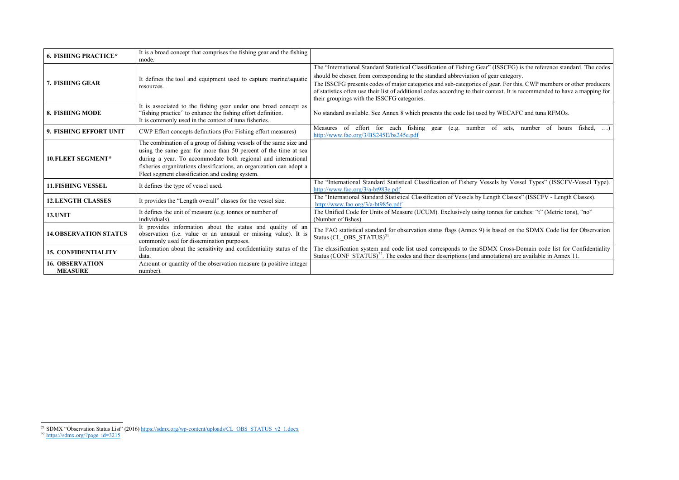<span id="page-16-1"></span><span id="page-16-0"></span>

| <b>6. FISHING PRACTICE*</b>              | It is a broad concept that comprises the fishing gear and the fishing<br>mode.                                                                                                                                                                                                                                                    |                                                                                                                                                                                                                                                                                                                                                                                                                                                                                                                |
|------------------------------------------|-----------------------------------------------------------------------------------------------------------------------------------------------------------------------------------------------------------------------------------------------------------------------------------------------------------------------------------|----------------------------------------------------------------------------------------------------------------------------------------------------------------------------------------------------------------------------------------------------------------------------------------------------------------------------------------------------------------------------------------------------------------------------------------------------------------------------------------------------------------|
| 7. FISHING GEAR                          | It defines the tool and equipment used to capture marine/aquatic<br>resources.                                                                                                                                                                                                                                                    | The "International Standard Statistical Classification of Fishing Gear" (ISSCFG) is the reference standard. The codes<br>should be chosen from corresponding to the standard abbreviation of gear category.<br>The ISSCFG presents codes of major categories and sub-categories of gear. For this, CWP members or other producers<br>of statistics often use their list of additional codes according to their context. It is recommended to have a mapping for<br>their groupings with the ISSCFG categories. |
| 8. FISHING MODE                          | It is associated to the fishing gear under one broad concept as<br>"fishing practice" to enhance the fishing effort definition.<br>It is commonly used in the context of tuna fisheries.                                                                                                                                          | No standard available. See Annex 8 which presents the code list used by WECAFC and tuna RFMOs.                                                                                                                                                                                                                                                                                                                                                                                                                 |
| 9. FISHING EFFORT UNIT                   | CWP Effort concepts definitions (For Fishing effort measures)                                                                                                                                                                                                                                                                     | Measures of effort for each fishing gear (e.g. number of sets, number of hours<br>fished, $\dots$ )<br>http://www.fao.org/3/BS245E/bs245e.pdf                                                                                                                                                                                                                                                                                                                                                                  |
| 10. FLEET SEGMENT*                       | The combination of a group of fishing vessels of the same size and<br>using the same gear for more than 50 percent of the time at sea<br>during a year. To accommodate both regional and international<br>fisheries organizations classifications, an organization can adopt a<br>Fleet segment classification and coding system. |                                                                                                                                                                                                                                                                                                                                                                                                                                                                                                                |
| <b>11. FISHING VESSEL</b>                | It defines the type of vessel used.                                                                                                                                                                                                                                                                                               | The "International Standard Statistical Classification of Fishery Vessels by Vessel Types" (ISSCFV-Vessel Type).<br>http://www.fao.org/3/a-bt983e.pdf                                                                                                                                                                                                                                                                                                                                                          |
| <b>12.LENGTH CLASSES</b>                 | It provides the "Length overall" classes for the vessel size.                                                                                                                                                                                                                                                                     | The "International Standard Statistical Classification of Vessels by Length Classes" (ISSCFV - Length Classes).<br>http://www.fao.org/3/a-bt985e.pdf                                                                                                                                                                                                                                                                                                                                                           |
| <b>13. UNIT</b>                          | It defines the unit of measure (e.g. tonnes or number of<br>individuals).                                                                                                                                                                                                                                                         | The Unified Code for Units of Measure (UCUM). Exclusively using tonnes for catches: "t" (Metric tons), "no"<br>(Number of fishes).                                                                                                                                                                                                                                                                                                                                                                             |
| <b>14.OBSERVATION STATUS</b>             | It provides information about the status and quality of an<br>observation (i.e. value or an unusual or missing value). It is<br>commonly used for dissemination purposes.                                                                                                                                                         | The FAO statistical standard for observation status flags (Annex 9) is based on the SDMX Code list for Observation<br>Status (CL OBS STATUS) $^{21}$ .                                                                                                                                                                                                                                                                                                                                                         |
| <b>15. CONFIDENTIALITY</b>               | Information about the sensitivity and confidentiality status of the<br>data.                                                                                                                                                                                                                                                      | The classification system and code list used corresponds to the SDMX Cross-Domain code list for Confidentiality<br>Status (CONF STATUS) <sup>22</sup> . The codes and their descriptions (and annotations) are available in Annex 11.                                                                                                                                                                                                                                                                          |
| <b>16. OBSERVATION</b><br><b>MEASURE</b> | Amount or quantity of the observation measure (a positive integer<br>number).                                                                                                                                                                                                                                                     |                                                                                                                                                                                                                                                                                                                                                                                                                                                                                                                |

<sup>&</sup>lt;sup>21</sup> SDMX "Observation Status List" (2016) [https://sdmx.org/wp-content/uploads/CL\\_OBS\\_STATUS\\_v2\\_1.docx](https://sdmx.org/wp-content/uploads/CL_OBS_STATUS_v2_1.docx)

<sup>&</sup>lt;sup>22</sup> [https://sdmx.org/?page\\_id=3215](https://sdmx.org/?page_id=3215)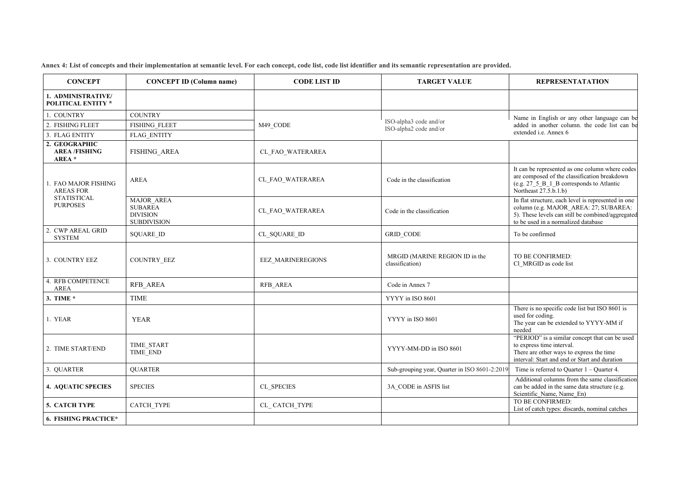**Annex 4: List of concepts and their implementation at semantic level. For each concept, code list, code list identifier and its semantic representation are provided.**

## $R$ **EPRESENTATATION**

Name in English or any other language can be added in another column. the code list can be extended i.e. Annex 6

It can be represented as one column where codes are composed of the classification breakdown (e.g. 27\_5\_B\_1\_B corresponds to Atlantic Northeast 27.5.b.1.b)

Additional columns from the same classification can be added in the same data structure (e.g. Scientific\_Name, Name\_En)<br>TO BE CONFIRMED:

In flat structure, each level is represented in one column (e.g. MAJOR\_AREA: 27; SUBAREA: 5). These levels can still be combined/aggregated to be used in a normalized database

| <b>CONCEPT</b>                                                                    | <b>CONCEPT ID (Column name)</b>                                       | <b>CODE LIST ID</b>      | <b>TARGET VALUE</b>                               | <b>REPRESEN</b>                                                                                         |
|-----------------------------------------------------------------------------------|-----------------------------------------------------------------------|--------------------------|---------------------------------------------------|---------------------------------------------------------------------------------------------------------|
| 1. ADMINISTRATIVE/<br><b>POLITICAL ENTITY *</b>                                   |                                                                       |                          |                                                   |                                                                                                         |
| 1. COUNTRY                                                                        | <b>COUNTRY</b>                                                        |                          |                                                   | Name in English or a                                                                                    |
| 2. FISHING FLEET                                                                  | <b>FISHING FLEET</b>                                                  | M49 CODE                 | ISO-alpha3 code and/or<br>ISO-alpha2 code and/or  | added in another colu                                                                                   |
| 3. FLAG ENTITY<br><b>FLAG ENTITY</b>                                              |                                                                       |                          |                                                   | extended i.e. Annex 6                                                                                   |
| 2. GEOGRAPHIC<br><b>AREA/FISHING</b><br>AREA *                                    | <b>FISHING AREA</b>                                                   | CL FAO WATERAREA         |                                                   |                                                                                                         |
| 1. FAO MAJOR FISHING<br><b>AREAS FOR</b><br><b>STATISTICAL</b><br><b>PURPOSES</b> | <b>AREA</b>                                                           | CL FAO WATERAREA         | Code in the classification                        | It can be represented as<br>are composed of the cla<br>(e.g. 27 5 B 1 B corr<br>Northeast 27.5.b.1.b)   |
|                                                                                   | MAJOR AREA<br><b>SUBAREA</b><br><b>DIVISION</b><br><b>SUBDIVISION</b> | CL FAO WATERAREA         | Code in the classification                        | In flat structure, each le<br>column (e.g. MAJOR<br>5). These levels can sti<br>to be used in a normali |
| 2. CWP AREAL GRID<br><b>SYSTEM</b>                                                | <b>SQUARE ID</b>                                                      | CL SQUARE ID             | <b>GRID CODE</b>                                  | To be confirmed                                                                                         |
| 3. COUNTRY EEZ                                                                    | COUNTRY_EEZ                                                           | <b>EEZ MARINEREGIONS</b> | MRGID (MARINE REGION ID in the<br>classification) | TO BE CONFIRMED:<br>Cl MRGID as code lis                                                                |
| 4. RFB COMPETENCE<br><b>AREA</b>                                                  | RFB AREA                                                              | RFB AREA                 | Code in Annex 7                                   |                                                                                                         |
| 3. TIME *                                                                         | <b>TIME</b>                                                           |                          | YYYY in ISO 8601                                  |                                                                                                         |
| 1. YEAR                                                                           | <b>YEAR</b>                                                           |                          | YYYY in ISO 8601                                  | There is no specific co<br>used for coding.<br>The year can be extend<br>needed                         |
| 2. TIME START/END                                                                 | <b>TIME START</b><br>TIME END                                         |                          | YYYY-MM-DD in ISO 8601                            | "PERIOD" is a similar<br>to express time interval<br>There are other ways to<br>interval: Start and end |
| 3. QUARTER                                                                        | <b>QUARTER</b>                                                        |                          | Sub-grouping year, Quarter in ISO 8601-2:2019     | Time is referred to Qu                                                                                  |
| <b>4. AQUATIC SPECIES</b>                                                         | <b>SPECIES</b>                                                        | CL SPECIES               | 3A CODE in ASFIS list                             | Additional columns fr<br>can be added in the san<br>Scientific Name, Nam                                |
| 5. CATCH TYPE                                                                     | <b>CATCH TYPE</b>                                                     | CL CATCH TYPE            |                                                   | TO BE CONFIRMED:<br>List of catch types: dis-                                                           |
| <b>6. FISHING PRACTICE*</b>                                                       |                                                                       |                          |                                                   |                                                                                                         |

There is no specific code list but ISO 8601 is used for coding.

The year can be extended to YYYY-MM if needed

"PERIOD" is a similar concept that can be used to express time interval.

There are other ways to express the time interval: Start and end or Start and duration

Time is referred to Quarter  $1 -$ Quarter 4.

List of catch types: discards, nominal catches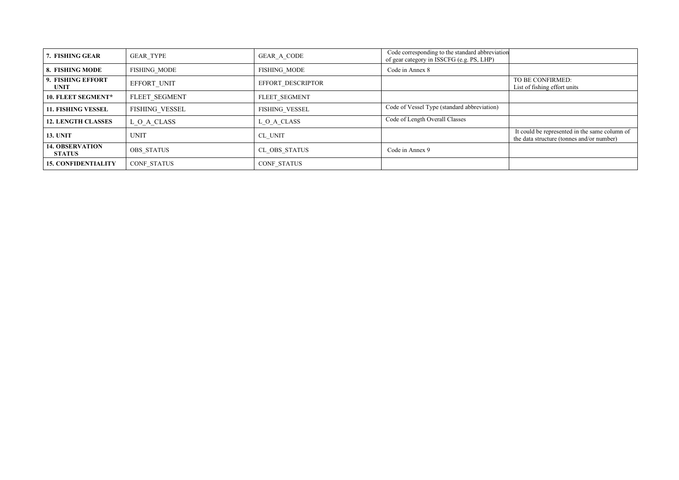| 7. FISHING GEAR                         | <b>GEAR TYPE</b>    | GEAR_A_CODE         | Code corresponding to the standard abbreviation<br>of gear category in ISSCFG (e.g. PS, LHP) |                                                                                            |
|-----------------------------------------|---------------------|---------------------|----------------------------------------------------------------------------------------------|--------------------------------------------------------------------------------------------|
| 8. FISHING MODE                         | <b>FISHING MODE</b> | <b>FISHING MODE</b> | Code in Annex 8                                                                              |                                                                                            |
| 9. FISHING EFFORT<br><b>UNIT</b>        | EFFORT_UNIT         | EFFORT DESCRIPTOR   |                                                                                              | TO BE CONFIRMED:<br>List of fishing effort units                                           |
| 10. FLEET SEGMENT*                      | FLEET SEGMENT       | FLEET SEGMENT       |                                                                                              |                                                                                            |
| <b>11. FISHING VESSEL</b>               | FISHING_VESSEL      | FISHING VESSEL      | Code of Vessel Type (standard abbreviation)                                                  |                                                                                            |
| <b>12. LENGTH CLASSES</b>               | $L_0_A$ CLASS       | L_O_A_CLASS         | Code of Length Overall Classes                                                               |                                                                                            |
| <b>13. UNIT</b>                         | <b>UNIT</b>         | CL UNIT             |                                                                                              | It could be represented in the same column of<br>the data structure (tonnes and/or number) |
| <b>14. OBSERVATION</b><br><b>STATUS</b> | <b>OBS STATUS</b>   | CL OBS STATUS       | Code in Annex 9                                                                              |                                                                                            |
| <b>15. CONFIDENTIALITY</b>              | <b>CONF STATUS</b>  | <b>CONF STATUS</b>  |                                                                                              |                                                                                            |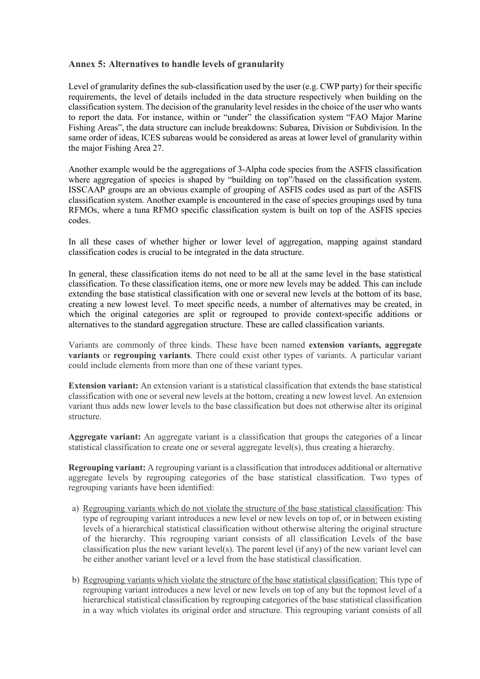#### **Annex 5: Alternatives to handle levels of granularity**

Level of granularity defines the sub-classification used by the user (e.g. CWP party) for their specific requirements, the level of details included in the data structure respectively when building on the classification system. The decision of the granularity level resides in the choice of the user who wants to report the data. For instance, within or "under" the classification system "FAO Major Marine Fishing Areas", the data structure can include breakdowns: Subarea, Division or Subdivision. In the same order of ideas, ICES subareas would be considered as areas at lower level of granularity within the major Fishing Area 27.

Another example would be the aggregations of 3-Alpha code species from the ASFIS classification where aggregation of species is shaped by "building on top"/based on the classification system. ISSCAAP groups are an obvious example of grouping of ASFIS codes used as part of the ASFIS classification system. Another example is encountered in the case of species groupings used by tuna RFMOs, where a tuna RFMO specific classification system is built on top of the ASFIS species codes.

In all these cases of whether higher or lower level of aggregation, mapping against standard classification codes is crucial to be integrated in the data structure.

In general, these classification items do not need to be all at the same level in the base statistical classification. To these classification items, one or more new levels may be added. This can include extending the base statistical classification with one or several new levels at the bottom of its base, creating a new lowest level. To meet specific needs, a number of alternatives may be created, in which the original categories are split or regrouped to provide context-specific additions or alternatives to the standard aggregation structure. These are called classification variants.

Variants are commonly of three kinds. These have been named **extension variants, aggregate variants** or **regrouping variants**. There could exist other types of variants. A particular variant could include elements from more than one of these variant types.

**Extension variant:** An extension variant is a statistical classification that extends the base statistical classification with one or several new levels at the bottom, creating a new lowest level. An extension variant thus adds new lower levels to the base classification but does not otherwise alter its original structure.

**Aggregate variant:** An aggregate variant is a classification that groups the categories of a linear statistical classification to create one or several aggregate level(s), thus creating a hierarchy.

**Regrouping variant:** A regrouping variant is a classification that introduces additional or alternative aggregate levels by regrouping categories of the base statistical classification. Two types of regrouping variants have been identified:

- a) Regrouping variants which do not violate the structure of the base statistical classification: This type of regrouping variant introduces a new level or new levels on top of, or in between existing levels of a hierarchical statistical classification without otherwise altering the original structure of the hierarchy. This regrouping variant consists of all classification Levels of the base classification plus the new variant level(s). The parent level (if any) of the new variant level can be either another variant level or a level from the base statistical classification.
- b) Regrouping variants which violate the structure of the base statistical classification: This type of regrouping variant introduces a new level or new levels on top of any but the topmost level of a hierarchical statistical classification by regrouping categories of the base statistical classification in a way which violates its original order and structure. This regrouping variant consists of all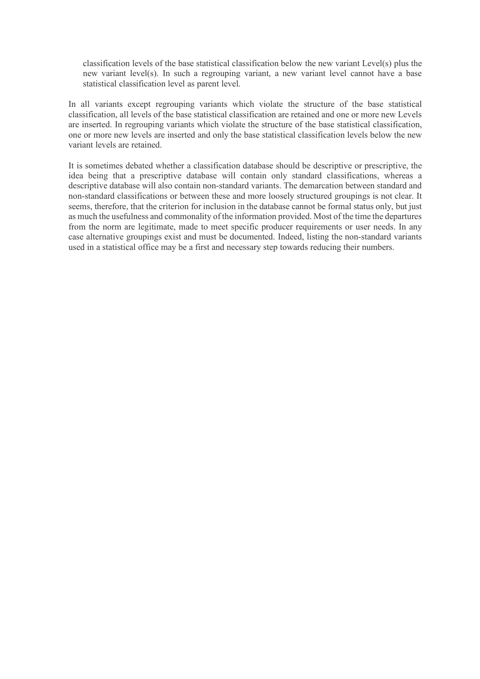classification levels of the base statistical classification below the new variant Level(s) plus the new variant level(s). In such a regrouping variant, a new variant level cannot have a base statistical classification level as parent level.

In all variants except regrouping variants which violate the structure of the base statistical classification, all levels of the base statistical classification are retained and one or more new Levels are inserted. In regrouping variants which violate the structure of the base statistical classification, one or more new levels are inserted and only the base statistical classification levels below the new variant levels are retained.

It is sometimes debated whether a classification database should be descriptive or prescriptive, the idea being that a prescriptive database will contain only standard classifications, whereas a descriptive database will also contain non-standard variants. The demarcation between standard and non-standard classifications or between these and more loosely structured groupings is not clear. It seems, therefore, that the criterion for inclusion in the database cannot be formal status only, but just as much the usefulness and commonality of the information provided. Most of the time the departures from the norm are legitimate, made to meet specific producer requirements or user needs. In any case alternative groupings exist and must be documented. Indeed, listing the non-standard variants used in a statistical office may be a first and necessary step towards reducing their numbers.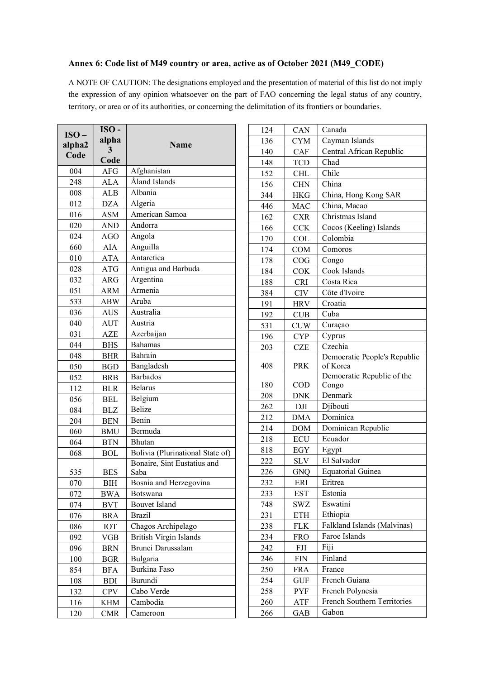## **Annex 6: Code list of M49 country or area, active as of October 2021 (M49\_CODE)**

A NOTE OF CAUTION: The designations employed and the presentation of material of this list do not imply the expression of any opinion whatsoever on the part of FAO concerning the legal status of any country, territory, or area or of its authorities, or concerning the delimitation of its frontiers or boundaries.

| $ISO-$ | $ISO-$     |                                  |
|--------|------------|----------------------------------|
| alpha2 | alpha      | <b>Name</b>                      |
| Code   | 3          |                                  |
|        | Code       |                                  |
| 004    | <b>AFG</b> | Afghanistan                      |
| 248    | <b>ALA</b> | Åland Islands                    |
| 008    | <b>ALB</b> | Albania                          |
| 012    | <b>DZA</b> | Algeria                          |
| 016    | <b>ASM</b> | American Samoa                   |
| 020    | AND        | Andorra                          |
| 024    | <b>AGO</b> | Angola                           |
| 660    | AIA        | Anguilla                         |
| 010    | <b>ATA</b> | Antarctica                       |
| 028    | <b>ATG</b> | Antigua and Barbuda              |
| 032    | <b>ARG</b> | Argentina                        |
| 051    | <b>ARM</b> | Armenia                          |
| 533    | <b>ABW</b> | Aruba                            |
| 036    | <b>AUS</b> | Australia                        |
| 040    | <b>AUT</b> | Austria                          |
| 031    | AZE        | Azerbaijan                       |
| 044    | <b>BHS</b> | <b>Bahamas</b>                   |
| 048    | <b>BHR</b> | Bahrain                          |
| 050    | <b>BGD</b> | Bangladesh                       |
| 052    | <b>BRB</b> | <b>Barbados</b>                  |
| 112    | <b>BLR</b> | <b>Belarus</b>                   |
| 056    | <b>BEL</b> | Belgium                          |
| 084    | <b>BLZ</b> | <b>Belize</b>                    |
| 204    | <b>BEN</b> | Benin                            |
| 060    | <b>BMU</b> | Bermuda                          |
| 064    | <b>BTN</b> | Bhutan                           |
| 068    | <b>BOL</b> | Bolivia (Plurinational State of) |
|        |            | Bonaire, Sint Eustatius and      |
| 535    | <b>BES</b> | Saba                             |
| 070    | ВIН        | Bosnia and Herzegovina           |
| 072    | <b>BWA</b> | Botswana                         |
| 074    | <b>BVT</b> | <b>Bouvet Island</b>             |
| 076    | <b>BRA</b> | <b>Brazil</b>                    |
| 086    | IOT        | Chagos Archipelago               |
| 092    | <b>VGB</b> | <b>British Virgin Islands</b>    |
| 096    | BRN        | Brunei Darussalam                |
| 100    | <b>BGR</b> | Bulgaria                         |
| 854    | <b>BFA</b> | Burkina Faso                     |
| 108    | <b>BDI</b> | Burundi                          |
| 132    | <b>CPV</b> | Cabo Verde                       |
| 116    | KHM        | Cambodia                         |
| 120    | <b>CMR</b> | Cameroon                         |

| 124        | CAN               | Canada                                   |
|------------|-------------------|------------------------------------------|
| 136        | <b>CYM</b>        | Cayman Islands                           |
| 140        | CAF               | Central African Republic                 |
| 148        | <b>TCD</b>        | Chad                                     |
| 152        | <b>CHL</b>        | Chile                                    |
| 156        | <b>CHN</b>        | China                                    |
| 344        | HKG               | China, Hong Kong SAR                     |
| 446        | MAC               | China, Macao                             |
| 162        | <b>CXR</b>        | Christmas Island                         |
| 166        | <b>CCK</b>        | Cocos (Keeling) Islands                  |
| 170        | <b>COL</b>        | Colombia                                 |
| 174        | <b>COM</b>        | Comoros                                  |
| 178        | COG               | Congo                                    |
| 184        | <b>COK</b>        | Cook Islands                             |
| 188        | <b>CRI</b>        | Costa Rica                               |
| 384        | <b>CIV</b>        | Côte d'Ivoire                            |
| 191        | <b>HRV</b>        | Croatia                                  |
| 192        | CUB               | Cuba                                     |
| 531        | <b>CUW</b>        | Curaçao                                  |
| 196        | <b>CYP</b>        | Cyprus                                   |
| 203        | <b>CZE</b>        | Czechia                                  |
| 408        | <b>PRK</b>        | Democratic People's Republic<br>of Korea |
|            |                   | Democratic Republic of the               |
| 180        | COD               | Congo                                    |
| 208        | DNK               | Denmark                                  |
| 262        | DJI               | Djibouti                                 |
| 212        | <b>DMA</b>        | Dominica                                 |
| 214        | <b>DOM</b>        | Dominican Republic                       |
| 218        | ECU               | Ecuador                                  |
| 818        | EGY               | Egypt                                    |
| 222        | SLV               | El Salvador                              |
| 226        | GNQ               | Equatorial Guinea                        |
| 232        | ERI               | Eritrea                                  |
| 233        | EST               | Estonia                                  |
| 748        | SWZ               | Eswatini                                 |
| 231        | ETH               | Ethiopia                                 |
| 238        | <b>FLK</b>        | Falkland Islands (Malvinas)              |
| 234        | <b>FRO</b>        | Faroe Islands                            |
| 242        | FJI               | Fiji                                     |
| 246        | FIN               | Finland                                  |
| 250        | FRA               | France                                   |
| 254        |                   | French Guiana                            |
|            |                   | French Polynesia                         |
|            |                   | French Southern Territories              |
| 266        | GAB               | Gabon                                    |
| 258<br>260 | GUF<br>PYF<br>ATF |                                          |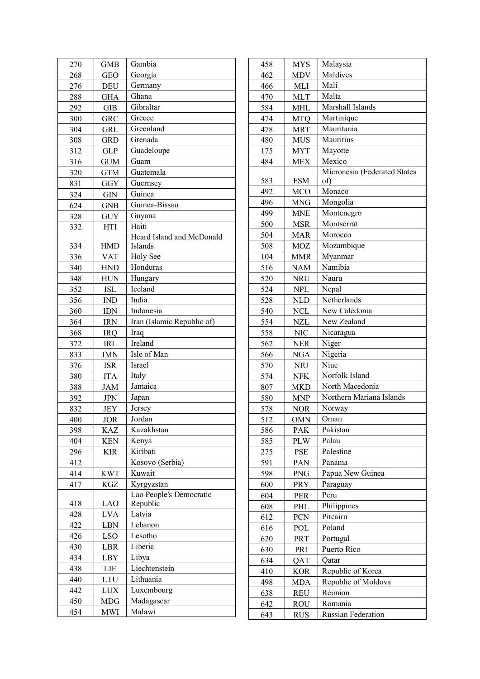| 270 | <b>GMB</b> | Gambia                     |
|-----|------------|----------------------------|
| 268 | <b>GEO</b> | Georgia                    |
| 276 | <b>DEU</b> | Germany                    |
| 288 | <b>GHA</b> | Ghana                      |
| 292 | <b>GIB</b> | Gibraltar                  |
| 300 | GRC        | Greece                     |
| 304 | <b>GRL</b> | Greenland                  |
| 308 | <b>GRD</b> | Grenada                    |
| 312 | <b>GLP</b> | Guadeloupe                 |
| 316 | GUM        | Guam                       |
| 320 | <b>GTM</b> | Guatemala                  |
| 831 | GGY        | Guernsey                   |
| 324 | GIN        | Guinea                     |
| 624 | <b>GNB</b> | Guinea-Bissau              |
| 328 | <b>GUY</b> | Guyana                     |
| 332 | <b>HTI</b> | Haiti                      |
|     |            | Heard Island and McDonald  |
| 334 | <b>HMD</b> | Islands                    |
| 336 | VAT        | Holy See                   |
| 340 | <b>HND</b> | Honduras                   |
| 348 | <b>HUN</b> | Hungary                    |
| 352 | <b>ISL</b> | Iceland                    |
| 356 | <b>IND</b> | India                      |
| 360 | <b>IDN</b> | Indonesia                  |
| 364 | <b>IRN</b> | Iran (Islamic Republic of) |
| 368 | IRQ        | Iraq                       |
| 372 | IRL        | Ireland                    |
| 833 | IMN        | Isle of Man                |
| 376 | <b>ISR</b> | Israel                     |
| 380 | <b>ITA</b> | Italy                      |
| 388 | JAM        | Jamaica                    |
| 392 | <b>JPN</b> | Japan                      |
| 832 | <b>JEY</b> | Jersey                     |
| 400 | <u>JOR</u> | Jordan                     |
| 398 | KAZ        | Kazakhstan                 |
| 404 | <b>KEN</b> | Kenya                      |
| 296 | KIR        | Kiribati                   |
| 412 |            | Kosovo (Serbia)            |
| 414 | <b>KWT</b> | Kuwait                     |
| 417 | KGZ        | Kyrgyzstan                 |
|     |            | Lao People's Democratic    |
| 418 | LAO        | Republic                   |
| 428 | <b>LVA</b> | Latvia                     |
| 422 | LBN        | Lebanon                    |
| 426 | <b>LSO</b> | Lesotho                    |
| 430 | LBR        | Liberia                    |
| 434 | LBY        | Libya                      |
| 438 | LIE        | Liechtenstein              |
| 440 | LTU        | Lithuania                  |
| 442 | <b>LUX</b> | Luxembourg                 |
| 450 | MDG        | Madagascar                 |
| 454 | <b>MWI</b> | Malawi                     |

| 458 | <b>MYS</b> | Malaysia                     |
|-----|------------|------------------------------|
| 462 | MDV        | Maldives                     |
| 466 | MLI        | Mali                         |
| 470 | <b>MLT</b> | Malta                        |
| 584 | MHL        | Marshall Islands             |
| 474 | <b>MTQ</b> | Martinique                   |
| 478 | <b>MRT</b> | Mauritania                   |
| 480 | <b>MUS</b> | Mauritius                    |
| 175 | <b>MYT</b> | Mayotte                      |
| 484 | <b>MEX</b> | Mexico                       |
|     |            | Micronesia (Federated States |
| 583 | <b>FSM</b> | of)                          |
| 492 | MCO        | Monaco                       |
| 496 | MNG        | Mongolia                     |
| 499 | <b>MNE</b> | Montenegro                   |
| 500 | <b>MSR</b> | Montserrat                   |
| 504 | <b>MAR</b> | Morocco                      |
| 508 | <b>MOZ</b> | Mozambique                   |
| 104 | MMR        | Myanmar                      |
| 516 | NAM        | Namibia                      |
| 520 | <b>NRU</b> | Nauru                        |
| 524 | <b>NPL</b> | Nepal                        |
| 528 | <b>NLD</b> | Netherlands                  |
| 540 | <b>NCL</b> | New Caledonia                |
| 554 | <b>NZL</b> | New Zealand                  |
| 558 | <b>NIC</b> | Nicaragua                    |
| 562 | <b>NER</b> | Niger                        |
| 566 | <b>NGA</b> | Nigeria                      |
| 570 | NIU        | Niue                         |
| 574 | <b>NFK</b> | Norfolk Island               |
| 807 | MKD        | North Macedonia              |
| 580 | <b>MNP</b> | Northern Mariana Islands     |
| 578 | <b>NOR</b> | Norway                       |
| 512 | OMN        | Oman                         |
| 586 | PAK        | Pakistan                     |
| 585 | <b>PLW</b> | Palau                        |
| 275 | PSE        | Palestine                    |
| 591 | PAN        | Panama                       |
| 598 | <b>PNG</b> | Papua New Guinea             |
| 600 | PRY        | Paraguay                     |
| 604 | PER        | Peru                         |
| 608 | PHL        | Philippines                  |
| 612 | PCN        | Pitcairn                     |
| 616 | POL        | Poland                       |
| 620 | PRT        | Portugal                     |
| 630 | PRI        | Puerto Rico                  |
| 634 | QAT        | Oatar                        |
| 410 | <b>KOR</b> | Republic of Korea            |
| 498 | MDA        | Republic of Moldova          |
| 638 | REU        | Réunion                      |
| 642 | ROU        | Romania                      |
| 643 | <b>RUS</b> | Russian Federation           |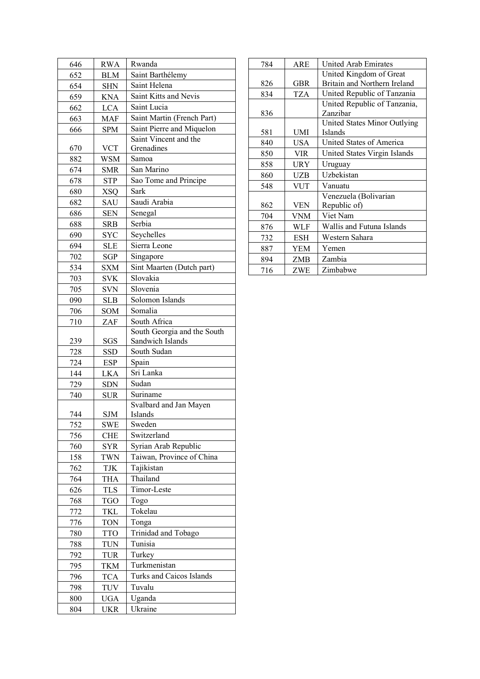| 646 | <b>RWA</b> | Rwanda                      |
|-----|------------|-----------------------------|
| 652 | <b>BLM</b> | Saint Barthélemy            |
| 654 | <b>SHN</b> | Saint Helena                |
| 659 | <b>KNA</b> | Saint Kitts and Nevis       |
| 662 | <b>LCA</b> | Saint Lucia                 |
| 663 | MAF        | Saint Martin (French Part)  |
| 666 | <b>SPM</b> | Saint Pierre and Miquelon   |
|     |            | Saint Vincent and the       |
| 670 | <b>VCT</b> | Grenadines                  |
| 882 | WSM        | Samoa                       |
| 674 | <b>SMR</b> | San Marino                  |
| 678 | <b>STP</b> | Sao Tome and Principe       |
| 680 | <b>XSQ</b> | Sark                        |
| 682 | SAU        | Saudi Arabia                |
| 686 | <b>SEN</b> | Senegal                     |
| 688 | <b>SRB</b> | Serbia                      |
| 690 | <b>SYC</b> | Seychelles                  |
| 694 | <b>SLE</b> | Sierra Leone                |
| 702 | SGP        | Singapore                   |
| 534 | SXM        | Sint Maarten (Dutch part)   |
| 703 | <b>SVK</b> | Slovakia                    |
| 705 | SVN        | Slovenia                    |
| 090 | <b>SLB</b> | Solomon Islands             |
| 706 | SOM        | Somalia                     |
| 710 | ZAF        | South Africa                |
|     |            | South Georgia and the South |
| 239 | SGS        | Sandwich Islands            |
| 728 | SSD        | South Sudan                 |
| 724 | <b>ESP</b> | Spain                       |
| 144 | LKA        | Sri Lanka                   |
| 729 | <b>SDN</b> | Sudan                       |
| 740 | <b>SUR</b> | Suriname                    |
|     |            | Svalbard and Jan Mayen      |
| 744 | SJM        | Islands                     |
| 752 | SWE        | Sweden                      |
| 756 | CHE        | Switzerland                 |
| 760 | <b>SYR</b> | Syrian Arab Republic        |
| 158 | <b>TWN</b> | Taiwan, Province of China   |
| 762 | TJK        | Tajikistan                  |
| 764 | THA        | Thailand                    |
| 626 | TLS        | Timor-Leste                 |
| 768 | <b>TGO</b> | Togo                        |
| 772 | TKL        | Tokelau                     |
| 776 | <b>TON</b> | Tonga                       |
| 780 | <b>TTO</b> | Trinidad and Tobago         |
| 788 | TUN        | Tunisia                     |
| 792 | <b>TUR</b> | Turkey                      |
| 795 | TKM        | Turkmenistan                |
| 796 | <b>TCA</b> | Turks and Caicos Islands    |
| 798 | TUV        | Tuvalu                      |
| 800 | <b>UGA</b> | Uganda                      |
| 804 | UKR        | Ukraine                     |

| 784 | ARE        | United Arab Emirates         |
|-----|------------|------------------------------|
|     |            | United Kingdom of Great      |
| 826 | <b>GBR</b> | Britain and Northern Ireland |
| 834 | TZA        | United Republic of Tanzania  |
|     |            | United Republic of Tanzania, |
| 836 |            | Zanzibar                     |
|     |            | United States Minor Outlying |
| 581 | UMI        | <b>Islands</b>               |
| 840 | USA        | United States of America     |
| 850 | <b>VIR</b> | United States Virgin Islands |
| 858 | URY        | Uruguay                      |
| 860 | UZB        | Uzbekistan                   |
| 548 | VUT        | Vanuatu                      |
|     |            | Venezuela (Bolivarian        |
| 862 | <b>VEN</b> | Republic of)                 |
| 704 | <b>VNM</b> | Viet Nam                     |
| 876 | WLF        | Wallis and Futuna Islands    |
| 732 | <b>ESH</b> | Western Sahara               |
| 887 | <b>YEM</b> | Yemen                        |
| 894 | ZMB        | Zambia                       |
| 716 | ZWE        | Zimbabwe                     |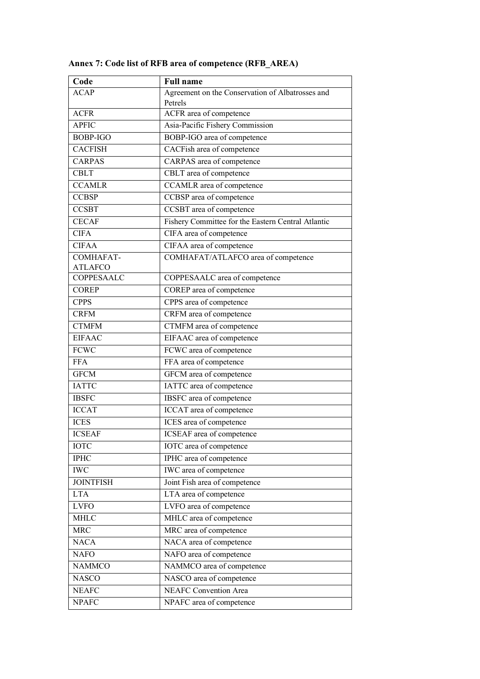| Code                         | <b>Full name</b>                                            |
|------------------------------|-------------------------------------------------------------|
| <b>ACAP</b>                  | Agreement on the Conservation of Albatrosses and<br>Petrels |
| <b>ACFR</b>                  | ACFR area of competence                                     |
| <b>APFIC</b>                 | Asia-Pacific Fishery Commission                             |
| BOBP-IGO                     | BOBP-IGO area of competence                                 |
| <b>CACFISH</b>               | CACFish area of competence                                  |
| <b>CARPAS</b>                | CARPAS area of competence                                   |
| <b>CBLT</b>                  | CBLT area of competence                                     |
| <b>CCAMLR</b>                | CCAMLR area of competence                                   |
| <b>CCBSP</b>                 | CCBSP area of competence                                    |
|                              |                                                             |
| <b>CCSBT</b><br><b>CECAF</b> | CCSBT area of competence                                    |
|                              | Fishery Committee for the Eastern Central Atlantic          |
| <b>CIFA</b>                  | CIFA area of competence                                     |
| $\overline{C}$ IFAA          | CIFAA area of competence                                    |
| <b>COMHAFAT-</b>             | COMHAFAT/ATLAFCO area of competence                         |
| <b>ATLAFCO</b><br>COPPESAALC | COPPESAALC area of competence                               |
| <b>COREP</b>                 | COREP area of competence                                    |
|                              |                                                             |
| <b>CPPS</b>                  | CPPS area of competence                                     |
| <b>CRFM</b>                  | CRFM area of competence                                     |
| <b>CTMFM</b>                 | CTMFM area of competence                                    |
| <b>EIFAAC</b>                | EIFAAC area of competence                                   |
| <b>FCWC</b>                  | FCWC area of competence                                     |
| <b>FFA</b>                   | FFA area of competence                                      |
| <b>GFCM</b>                  | GFCM area of competence                                     |
| <b>IATTC</b>                 | IATTC area of competence                                    |
| <b>IBSFC</b>                 | IBSFC area of competence                                    |
| <b>ICCAT</b>                 | ICCAT area of competence                                    |
| <b>ICES</b>                  | ICES area of competence                                     |
| <b>ICSEAF</b>                | <b>ICSEAF</b> area of competence                            |
| <b>IOTC</b>                  | IOTC area of competence                                     |
| <b>IPHC</b>                  | IPHC area of competence                                     |
| <b>IWC</b>                   | IWC area of competence                                      |
| <b>JOINTFISH</b>             | Joint Fish area of competence                               |
| <b>LTA</b>                   | LTA area of competence                                      |
| <b>LVFO</b>                  | LVFO area of competence                                     |
| <b>MHLC</b>                  | MHLC area of competence                                     |
| <b>MRC</b>                   | MRC area of competence                                      |
| <b>NACA</b>                  | NACA area of competence                                     |
| <b>NAFO</b>                  | NAFO area of competence                                     |
| <b>NAMMCO</b>                | NAMMCO area of competence                                   |
| <b>NASCO</b>                 | NASCO area of competence                                    |
| <b>NEAFC</b>                 | <b>NEAFC</b> Convention Area                                |
| <b>NPAFC</b>                 | NPAFC area of competence                                    |
|                              |                                                             |

**Annex 7: Code list of RFB area of competence (RFB\_AREA)**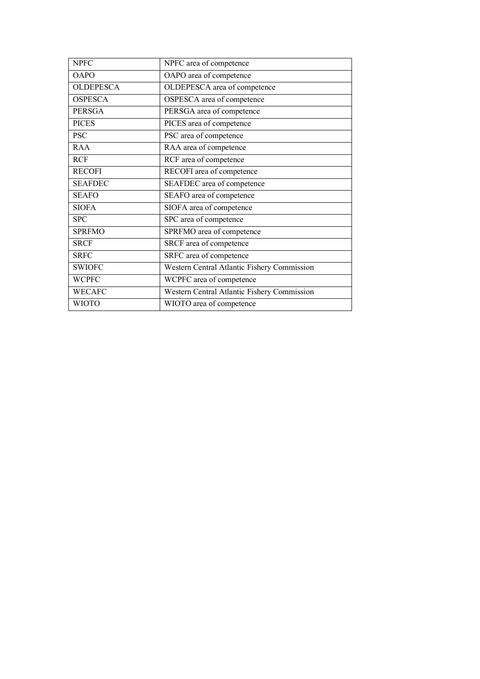| <b>NPFC</b>      | NPFC area of competence                     |
|------------------|---------------------------------------------|
| <b>OAPO</b>      | OAPO area of competence                     |
| <b>OLDEPESCA</b> | OLDEPESCA area of competence                |
| <b>OSPESCA</b>   | OSPESCA area of competence                  |
| <b>PERSGA</b>    | PERSGA area of competence                   |
| <b>PICES</b>     | PICES area of competence                    |
| <b>PSC</b>       | PSC area of competence                      |
| <b>RAA</b>       | RAA area of competence                      |
| <b>RCF</b>       | RCF area of competence                      |
| <b>RECOFI</b>    | RECOFI area of competence                   |
| <b>SEAFDEC</b>   | SEAFDEC area of competence                  |
| <b>SEAFO</b>     | SEAFO area of competence                    |
| <b>SIOFA</b>     | SIOFA area of competence                    |
| <b>SPC</b>       | SPC area of competence                      |
| <b>SPRFMO</b>    | SPRFMO area of competence                   |
| <b>SRCF</b>      | SRCF area of competence                     |
| <b>SRFC</b>      | SRFC area of competence                     |
| <b>SWIOFC</b>    | Western Central Atlantic Fishery Commission |
| <b>WCPFC</b>     | WCPFC area of competence                    |
| <b>WECAFC</b>    | Western Central Atlantic Fishery Commission |
| <b>WIOTO</b>     | WIOTO area of competence                    |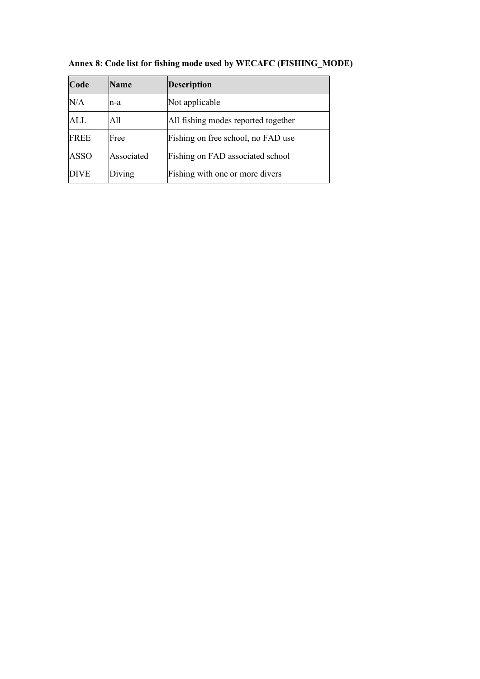| Code        | <b>Name</b> | <b>Description</b>                  |
|-------------|-------------|-------------------------------------|
| N/A         | n-a         | Not applicable                      |
| ALL         | All         | All fishing modes reported together |
| <b>FREE</b> | Free        | Fishing on free school, no FAD use  |
| ASSO        | Associated  | Fishing on FAD associated school    |
| <b>DIVE</b> | Diving      | Fishing with one or more divers     |

**Annex 8: Code list for fishing mode used by WECAFC (FISHING\_MODE)**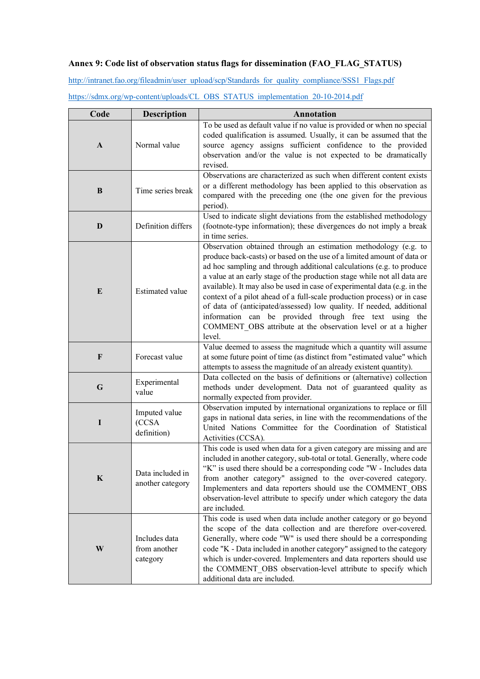## **Annex 9: Code list of observation status flags for dissemination (FAO\_FLAG\_STATUS)**

[http://intranet.fao.org/fileadmin/user\\_upload/scp/Standards\\_for\\_quality\\_compliance/SSS1\\_Flags.pdf](http://intranet.fao.org/fileadmin/user_upload/scp/Standards_for_quality_compliance/SSS1_Flags.pdf)

| Code         | <b>Description</b>                        | <b>Annotation</b>                                                                                                                                                                                                                                                                                                                                                                                                                                                                                                                                                                                                                                                   |
|--------------|-------------------------------------------|---------------------------------------------------------------------------------------------------------------------------------------------------------------------------------------------------------------------------------------------------------------------------------------------------------------------------------------------------------------------------------------------------------------------------------------------------------------------------------------------------------------------------------------------------------------------------------------------------------------------------------------------------------------------|
| $\mathbf{A}$ | Normal value                              | To be used as default value if no value is provided or when no special<br>coded qualification is assumed. Usually, it can be assumed that the<br>source agency assigns sufficient confidence to the provided<br>observation and/or the value is not expected to be dramatically<br>revised.                                                                                                                                                                                                                                                                                                                                                                         |
| B            | Time series break                         | Observations are characterized as such when different content exists<br>or a different methodology has been applied to this observation as<br>compared with the preceding one (the one given for the previous<br>period).                                                                                                                                                                                                                                                                                                                                                                                                                                           |
| D            | Definition differs                        | Used to indicate slight deviations from the established methodology<br>(footnote-type information); these divergences do not imply a break<br>in time series.                                                                                                                                                                                                                                                                                                                                                                                                                                                                                                       |
| E            | <b>Estimated value</b>                    | Observation obtained through an estimation methodology (e.g. to<br>produce back-casts) or based on the use of a limited amount of data or<br>ad hoc sampling and through additional calculations (e.g. to produce<br>a value at an early stage of the production stage while not all data are<br>available). It may also be used in case of experimental data (e.g. in the<br>context of a pilot ahead of a full-scale production process) or in case<br>of data of (anticipated/assessed) low quality. If needed, additional<br>information can be provided through free text using the<br>COMMENT_OBS attribute at the observation level or at a higher<br>level. |
| $\mathbf{F}$ | Forecast value                            | Value deemed to assess the magnitude which a quantity will assume<br>at some future point of time (as distinct from "estimated value" which<br>attempts to assess the magnitude of an already existent quantity).                                                                                                                                                                                                                                                                                                                                                                                                                                                   |
| G            | Experimental<br>value                     | Data collected on the basis of definitions or (alternative) collection<br>methods under development. Data not of guaranteed quality as<br>normally expected from provider.                                                                                                                                                                                                                                                                                                                                                                                                                                                                                          |
| I            | Imputed value<br>(CCSA<br>definition)     | Observation imputed by international organizations to replace or fill<br>gaps in national data series, in line with the recommendations of the<br>United Nations Committee for the Coordination of Statistical<br>Activities (CCSA).                                                                                                                                                                                                                                                                                                                                                                                                                                |
| K            | Data included in<br>another category      | This code is used when data for a given category are missing and are<br>included in another category, sub-total or total. Generally, where code<br>"K" is used there should be a corresponding code "W - Includes data<br>from another category" assigned to the over-covered category.<br>Implementers and data reporters should use the COMMENT_OBS<br>observation-level attribute to specify under which category the data<br>are included.                                                                                                                                                                                                                      |
| W            | Includes data<br>from another<br>category | This code is used when data include another category or go beyond<br>the scope of the data collection and are therefore over-covered.<br>Generally, where code "W" is used there should be a corresponding<br>code "K - Data included in another category" assigned to the category<br>which is under-covered. Implementers and data reporters should use<br>the COMMENT_OBS observation-level attribute to specify which<br>additional data are included.                                                                                                                                                                                                          |

[https://sdmx.org/wp-content/uploads/CL\\_OBS\\_STATUS\\_implementation\\_20-10-2014.pdf](https://sdmx.org/wp-content/uploads/CL_OBS_STATUS_implementation_20-10-2014.pdf)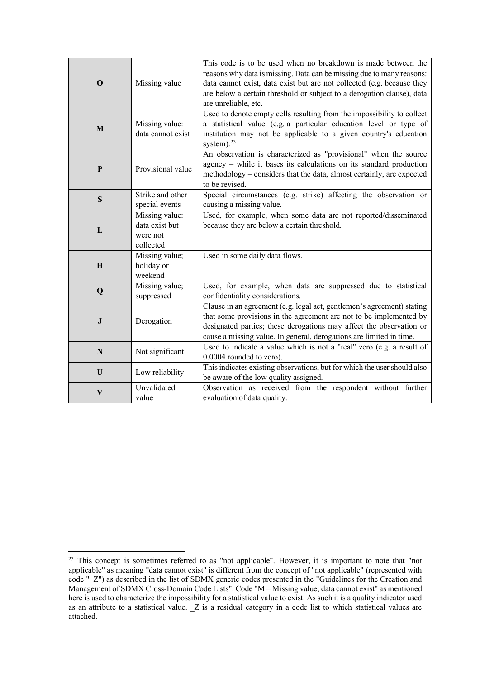|              |                       | This code is to be used when no breakdown is made between the            |
|--------------|-----------------------|--------------------------------------------------------------------------|
| $\mathbf 0$  |                       | reasons why data is missing. Data can be missing due to many reasons:    |
|              | Missing value         | data cannot exist, data exist but are not collected (e.g. because they   |
|              |                       | are below a certain threshold or subject to a derogation clause), data   |
|              |                       | are unreliable, etc.                                                     |
|              |                       | Used to denote empty cells resulting from the impossibility to collect   |
| $\mathbf{M}$ | Missing value:        | a statistical value (e.g. a particular education level or type of        |
|              | data cannot exist     | institution may not be applicable to a given country's education         |
|              |                       | system). $^{23}$                                                         |
|              |                       | An observation is characterized as "provisional" when the source         |
| ${\bf P}$    | Provisional value     | agency - while it bases its calculations on its standard production      |
|              |                       | methodology - considers that the data, almost certainly, are expected    |
|              |                       | to be revised.                                                           |
| S            | Strike and other      | Special circumstances (e.g. strike) affecting the observation or         |
|              | special events        | causing a missing value.                                                 |
|              | Missing value:        | Used, for example, when some data are not reported/disseminated          |
| L            | data exist but        | because they are below a certain threshold.                              |
|              | were not<br>collected |                                                                          |
|              | Missing value;        | Used in some daily data flows.                                           |
| $\mathbf H$  | holiday or            |                                                                          |
|              | weekend               |                                                                          |
|              | Missing value;        | Used, for example, when data are suppressed due to statistical           |
| Q            | suppressed            | confidentiality considerations.                                          |
|              |                       | Clause in an agreement (e.g. legal act, gentlemen's agreement) stating   |
|              | Derogation            | that some provisions in the agreement are not to be implemented by       |
| ${\bf J}$    |                       | designated parties; these derogations may affect the observation or      |
|              |                       | cause a missing value. In general, derogations are limited in time.      |
|              |                       | Used to indicate a value which is not a "real" zero (e.g. a result of    |
| N            | Not significant       | 0.0004 rounded to zero).                                                 |
| U            | Low reliability       | This indicates existing observations, but for which the user should also |
|              |                       | be aware of the low quality assigned.                                    |
| $\mathbf{V}$ | Unvalidated           | Observation as received from the respondent without further              |
|              | value                 | evaluation of data quality.                                              |

<span id="page-28-0"></span><sup>&</sup>lt;sup>23</sup> This concept is sometimes referred to as "not applicable". However, it is important to note that "not applicable" as meaning "data cannot exist" is different from the concept of "not applicable" (represented with code "\_Z") as described in the list of SDMX generic codes presented in the "Guidelines for the Creation and Management of SDMX Cross-Domain Code Lists". Code "M – Missing value; data cannot exist" as mentioned here is used to characterize the impossibility for a statistical value to exist. As such it is a quality indicator used as an attribute to a statistical value. \_Z is a residual category in a code list to which statistical values are attached.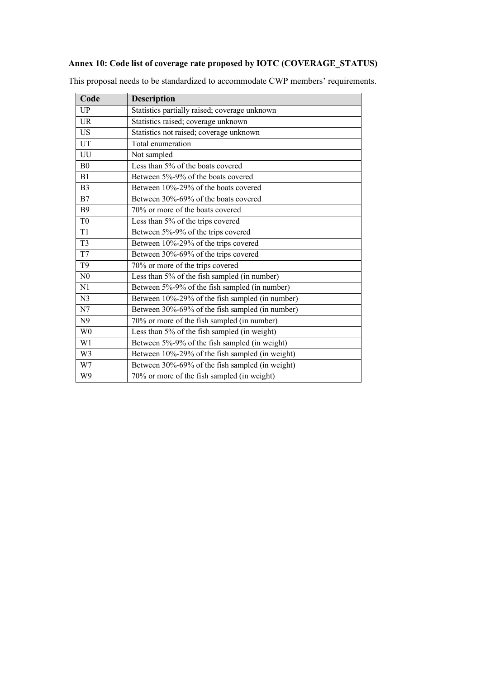## **Annex 10: Code list of coverage rate proposed by IOTC (COVERAGE\_STATUS)**

| Code           | <b>Description</b>                              |
|----------------|-------------------------------------------------|
| <b>UP</b>      | Statistics partially raised; coverage unknown   |
| <b>UR</b>      | Statistics raised; coverage unknown             |
| <b>US</b>      | Statistics not raised; coverage unknown         |
| UT             | Total enumeration                               |
| UU             | Not sampled                                     |
| B <sub>0</sub> | Less than 5% of the boats covered               |
| B1             | Between 5%-9% of the boats covered              |
| B <sub>3</sub> | Between 10%-29% of the boats covered            |
| B7             | Between 30%-69% of the boats covered            |
| <b>B</b> 9     | 70% or more of the boats covered                |
| T <sub>0</sub> | Less than 5% of the trips covered               |
| T <sub>1</sub> | Between 5%-9% of the trips covered              |
| T <sub>3</sub> | Between 10%-29% of the trips covered            |
| T7             | Between 30%-69% of the trips covered            |
| T <sub>9</sub> | 70% or more of the trips covered                |
| N <sub>0</sub> | Less than 5% of the fish sampled (in number)    |
| N1             | Between 5%-9% of the fish sampled (in number)   |
| N <sub>3</sub> | Between 10%-29% of the fish sampled (in number) |
| N7             | Between 30%-69% of the fish sampled (in number) |
| N <sub>9</sub> | 70% or more of the fish sampled (in number)     |
| W <sub>0</sub> | Less than 5% of the fish sampled (in weight)    |
| W1             | Between 5%-9% of the fish sampled (in weight)   |
| W <sub>3</sub> | Between 10%-29% of the fish sampled (in weight) |
| W7             | Between 30%-69% of the fish sampled (in weight) |
| W9             | 70% or more of the fish sampled (in weight)     |

This proposal needs to be standardized to accommodate CWP members' requirements.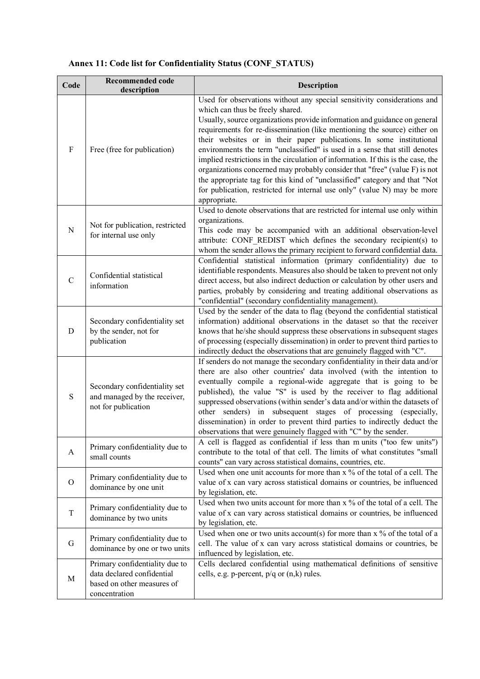| Code         | <b>Recommended code</b><br>description                                                                      | <b>Description</b>                                                                                                                                                                                                                                                                                                                                                                                                                                                                                                                                                                                                                                                                                                                                                      |
|--------------|-------------------------------------------------------------------------------------------------------------|-------------------------------------------------------------------------------------------------------------------------------------------------------------------------------------------------------------------------------------------------------------------------------------------------------------------------------------------------------------------------------------------------------------------------------------------------------------------------------------------------------------------------------------------------------------------------------------------------------------------------------------------------------------------------------------------------------------------------------------------------------------------------|
| $\mathbf{F}$ | Free (free for publication)                                                                                 | Used for observations without any special sensitivity considerations and<br>which can thus be freely shared.<br>Usually, source organizations provide information and guidance on general<br>requirements for re-dissemination (like mentioning the source) either on<br>their websites or in their paper publications. In some institutional<br>environments the term "unclassified" is used in a sense that still denotes<br>implied restrictions in the circulation of information. If this is the case, the<br>organizations concerned may probably consider that "free" (value F) is not<br>the appropriate tag for this kind of "unclassified" category and that "Not<br>for publication, restricted for internal use only" (value N) may be more<br>appropriate. |
| N            | Not for publication, restricted<br>for internal use only                                                    | Used to denote observations that are restricted for internal use only within<br>organizations.<br>This code may be accompanied with an additional observation-level<br>attribute: CONF REDIST which defines the secondary recipient(s) to<br>whom the sender allows the primary recipient to forward confidential data.                                                                                                                                                                                                                                                                                                                                                                                                                                                 |
| $\mathbf C$  | Confidential statistical<br>information                                                                     | Confidential statistical information (primary confidentiality) due to<br>identifiable respondents. Measures also should be taken to prevent not only<br>direct access, but also indirect deduction or calculation by other users and<br>parties, probably by considering and treating additional observations as<br>"confidential" (secondary confidentiality management).                                                                                                                                                                                                                                                                                                                                                                                              |
| D            | Secondary confidentiality set<br>by the sender, not for<br>publication                                      | Used by the sender of the data to flag (beyond the confidential statistical<br>information) additional observations in the dataset so that the receiver<br>knows that he/she should suppress these observations in subsequent stages<br>of processing (especially dissemination) in order to prevent third parties to<br>indirectly deduct the observations that are genuinely flagged with "C".                                                                                                                                                                                                                                                                                                                                                                        |
| S            | Secondary confidentiality set<br>and managed by the receiver,<br>not for publication                        | If senders do not manage the secondary confidentiality in their data and/or<br>there are also other countries' data involved (with the intention to<br>eventually compile a regional-wide aggregate that is going to be<br>published), the value "S" is used by the receiver to flag additional<br>suppressed observations (within sender's data and/or within the datasets of<br>other senders) in subsequent stages of processing (especially,<br>dissemination) in order to prevent third parties to indirectly deduct the<br>observations that were genuinely flagged with "C" by the sender.                                                                                                                                                                       |
| A            | Primary confidentiality due to<br>small counts                                                              | A cell is flagged as confidential if less than m units ("too few units")<br>contribute to the total of that cell. The limits of what constitutes "small<br>counts" can vary across statistical domains, countries, etc.                                                                                                                                                                                                                                                                                                                                                                                                                                                                                                                                                 |
| $\mathbf{O}$ | Primary confidentiality due to<br>dominance by one unit                                                     | Used when one unit accounts for more than x % of the total of a cell. The<br>value of x can vary across statistical domains or countries, be influenced<br>by legislation, etc.                                                                                                                                                                                                                                                                                                                                                                                                                                                                                                                                                                                         |
| T            | Primary confidentiality due to<br>dominance by two units                                                    | Used when two units account for more than x % of the total of a cell. The<br>value of x can vary across statistical domains or countries, be influenced<br>by legislation, etc.                                                                                                                                                                                                                                                                                                                                                                                                                                                                                                                                                                                         |
| G            | Primary confidentiality due to<br>dominance by one or two units                                             | Used when one or two units account(s) for more than $x$ % of the total of a<br>cell. The value of x can vary across statistical domains or countries, be<br>influenced by legislation, etc.                                                                                                                                                                                                                                                                                                                                                                                                                                                                                                                                                                             |
| M            | Primary confidentiality due to<br>data declared confidential<br>based on other measures of<br>concentration | Cells declared confidential using mathematical definitions of sensitive<br>cells, e.g. p-percent, $p/q$ or $(n,k)$ rules.                                                                                                                                                                                                                                                                                                                                                                                                                                                                                                                                                                                                                                               |

# **Annex 11: Code list for Confidentiality Status (CONF\_STATUS)**